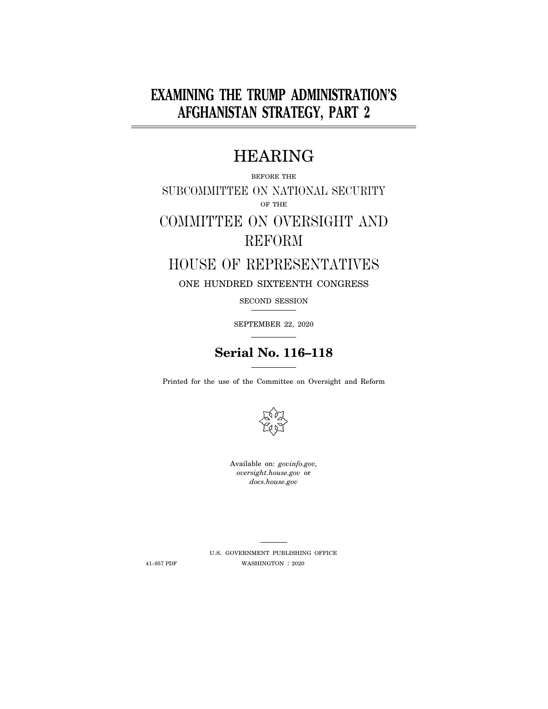# **EXAMINING THE TRUMP ADMINISTRATION'S AFGHANISTAN STRATEGY, PART 2**

# HEARING

### BEFORE THE SUBCOMMITTEE ON NATIONAL SECURITY OF THE

# COMMITTEE ON OVERSIGHT AND REFORM

## HOUSE OF REPRESENTATIVES

### ONE HUNDRED SIXTEENTH CONGRESS

### SECOND SESSION

SEPTEMBER 22, 2020

## **Serial No. 116–118**

Printed for the use of the Committee on Oversight and Reform



Available on: *govinfo.gov, oversight.house.gov* or *docs.house.gov* 

U.S. GOVERNMENT PUBLISHING OFFICE 41–957 PDF WASHINGTON : 2020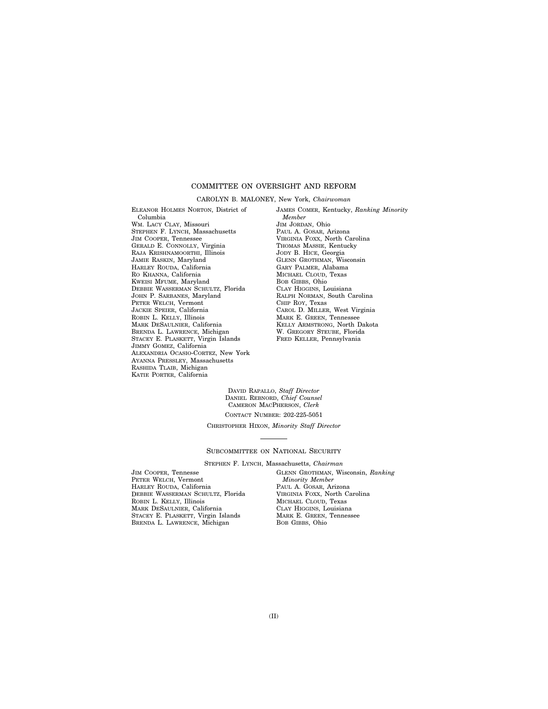#### COMMITTEE ON OVERSIGHT AND REFORM

#### CAROLYN B. MALONEY, New York, *Chairwoman*

ELEANOR HOLMES NORTON, District of Columbia WM. LACY CLAY, Missouri STEPHEN F. LYNCH, Massachusetts JIM COOPER, Tennessee GERALD E. CONNOLLY, Virginia RAJA KRISHNAMOORTHI, Illinois JAMIE RASKIN, Maryland HARLEY ROUDA, California RO KHANNA, California KWEISI MFUME, Maryland DEBBIE WASSERMAN SCHULTZ, Florida JOHN P. SARBANES, Maryland PETER WELCH, Vermont JACKIE SPEIER, California ROBIN L. KELLY, Illinois MARK DESAULNIER, California BRENDA L. LAWRENCE, Michigan STACEY E. PLASKETT, Virgin Islands JIMMY GOMEZ, California ALEXANDRIA OCASIO-CORTEZ, New York AYANNA PRESSLEY, Massachusetts RASHIDA TLAIB, Michigan KATIE PORTER, California

JAMES COMER, Kentucky, *Ranking Minority Member*  JIM JORDAN, Ohio PAUL A. GOSAR, Arizona VIRGINIA FOXX, North Carolina THOMAS MASSIE, Kentucky JODY B. HICE, Georgia GLENN GROTHMAN, Wisconsin GARY PALMER, Alabama MICHAEL CLOUD, Texas BOB GIBBS, Ohio CLAY HIGGINS, Louisiana RALPH NORMAN, South Carolina CHIP ROY, Texas CAROL D. MILLER, West Virginia MARK E. GREEN, Tennessee KELLY ARMSTRONG, North Dakota W. GREGORY STEUBE, Florida FRED KELLER, Pennsylvania

DAVID RAPALLO, *Staff Director*  DANIEL REBNORD, *Chief Counsel*  CAMERON MACPHERSON, *Clerk*  CONTACT NUMBER: 202-225-5051

CHRISTOPHER HIXON, *Minority Staff Director* 

#### SUBCOMMITTEE ON NATIONAL SECURITY

STEPHEN F. LYNCH, Massachusetts, *Chairman* 

JIM COOPER, Tennesse PETER WELCH, Vermont HARLEY ROUDA, California DEBBIE WASSERMAN SCHULTZ, Florida ROBIN L. KELLY, Illinois MARK DESAULNIER, California STACEY E. PLASKETT, Virgin Islands BRENDA L. LAWRENCE, Michigan

GLENN GROTHMAN, Wisconsin, *Ranking Minority Member*  PAUL A. GOSAR, Arizona VIRGINIA FOXX, North Carolina MICHAEL CLOUD, Texas CLAY HIGGINS, Louisiana MARK E. GREEN, Tennessee BOB GIBBS, Ohio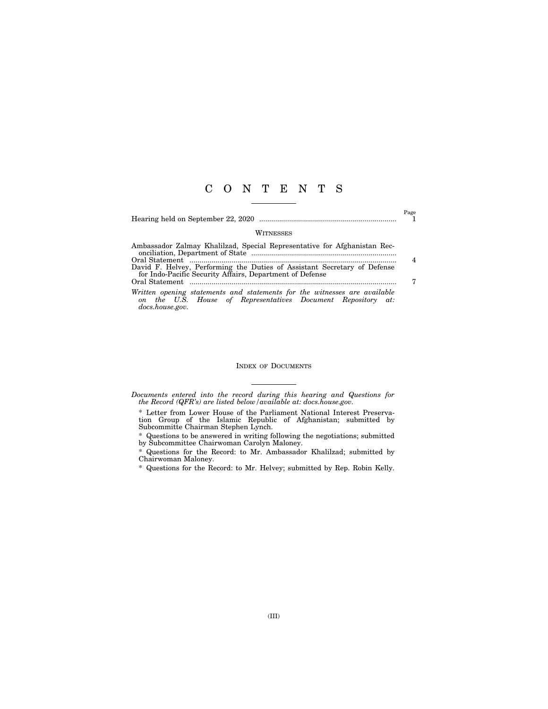### C O N T E N T S

Hearing held on September 22, 2020 ..................................................................... 1

 $_{\rm 1}^{\rm Page}$ 

#### **WITNESSES**

| Ambassador Zalmay Khalilzad, Special Representative for Afghanistan Rec-<br>onciliation, Department of State manufactured and the contract of State manufactured and the contract of State |                |
|--------------------------------------------------------------------------------------------------------------------------------------------------------------------------------------------|----------------|
|                                                                                                                                                                                            | $\overline{4}$ |
| David F. Helvey, Performing the Duties of Assistant Secretary of Defense                                                                                                                   |                |
| for Indo-Pacific Security Affairs, Department of Defense                                                                                                                                   |                |
| Written opening statements and statements for the witnesses are available<br>on the U.S. House of Representatives Document Repository at:<br>docs.house.gov.                               |                |

#### INDEX OF DOCUMENTS

*Documents entered into the record during this hearing and Questions for the Record (QFR's) are listed below/available at: docs.house.gov.* 

\* Letter from Lower House of the Parliament National Interest Preservation Group of the Islamic Republic of Afghanistan; submitted by Subcommitte Chairman Stephen Lynch.

\* Questions to be answered in writing following the negotiations; submitted by Subcommittee Chairwoman Carolyn Maloney.

\* Questions for the Record: to Mr. Ambassador Khalilzad; submitted by Chairwoman Maloney.

\* Questions for the Record: to Mr. Helvey; submitted by Rep. Robin Kelly.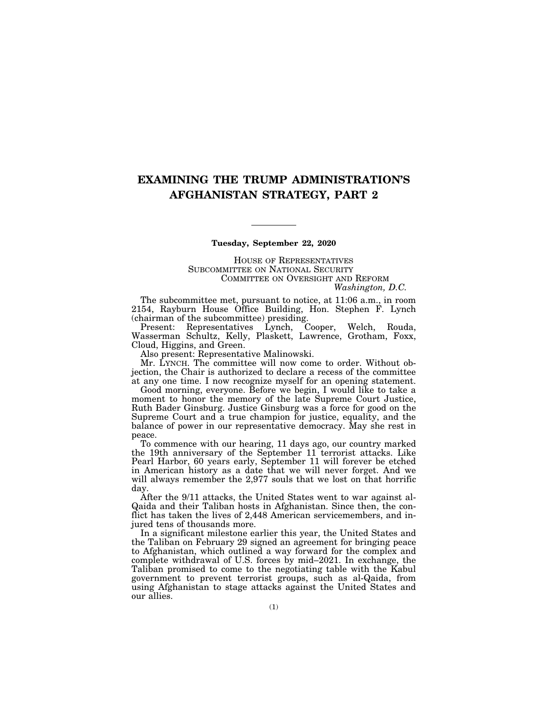### **EXAMINING THE TRUMP ADMINISTRATION'S AFGHANISTAN STRATEGY, PART 2**

#### **Tuesday, September 22, 2020**

HOUSE OF REPRESENTATIVES SUBCOMMITTEE ON NATIONAL SECURITY COMMITTEE ON OVERSIGHT AND REFORM *Washington, D.C.* 

The subcommittee met, pursuant to notice, at 11:06 a.m., in room 2154, Rayburn House Office Building, Hon. Stephen F. Lynch (chairman of the subcommittee) presiding.

Present: Representatives Lynch, Cooper, Welch, Rouda, Wasserman Schultz, Kelly, Plaskett, Lawrence, Grotham, Foxx, Cloud, Higgins, and Green.

Also present: Representative Malinowski.

Mr. LYNCH. The committee will now come to order. Without objection, the Chair is authorized to declare a recess of the committee at any one time. I now recognize myself for an opening statement.

Good morning, everyone. Before we begin, I would like to take a moment to honor the memory of the late Supreme Court Justice, Ruth Bader Ginsburg. Justice Ginsburg was a force for good on the Supreme Court and a true champion for justice, equality, and the balance of power in our representative democracy. May she rest in peace.

To commence with our hearing, 11 days ago, our country marked the 19th anniversary of the September 11 terrorist attacks. Like Pearl Harbor, 60 years early, September 11 will forever be etched in American history as a date that we will never forget. And we will always remember the 2,977 souls that we lost on that horrific day.

After the 9/11 attacks, the United States went to war against al-Qaida and their Taliban hosts in Afghanistan. Since then, the conflict has taken the lives of 2,448 American servicemembers, and injured tens of thousands more.

In a significant milestone earlier this year, the United States and the Taliban on February 29 signed an agreement for bringing peace to Afghanistan, which outlined a way forward for the complex and complete withdrawal of U.S. forces by mid–2021. In exchange, the Taliban promised to come to the negotiating table with the Kabul government to prevent terrorist groups, such as al-Qaida, from using Afghanistan to stage attacks against the United States and our allies.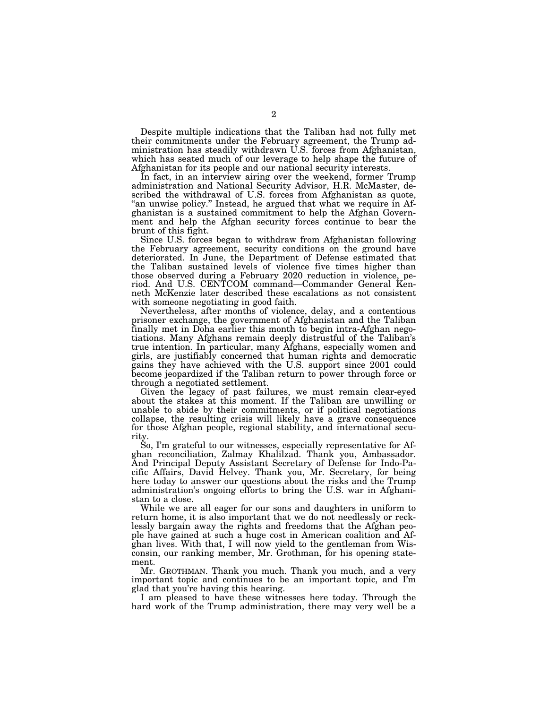Despite multiple indications that the Taliban had not fully met their commitments under the February agreement, the Trump administration has steadily withdrawn U.S. forces from Afghanistan, which has seated much of our leverage to help shape the future of Afghanistan for its people and our national security interests.

In fact, in an interview airing over the weekend, former Trump administration and National Security Advisor, H.R. McMaster, described the withdrawal of U.S. forces from Afghanistan as quote, "an unwise policy." Instead, he argued that what we require in Afghanistan is a sustained commitment to help the Afghan Government and help the Afghan security forces continue to bear the brunt of this fight.

Since U.S. forces began to withdraw from Afghanistan following the February agreement, security conditions on the ground have deteriorated. In June, the Department of Defense estimated that the Taliban sustained levels of violence five times higher than those observed during a February 2020 reduction in violence, period. And U.S. CENTCOM command—Commander General Kenneth McKenzie later described these escalations as not consistent with someone negotiating in good faith.

Nevertheless, after months of violence, delay, and a contentious prisoner exchange, the government of Afghanistan and the Taliban finally met in Doha earlier this month to begin intra-Afghan negotiations. Many Afghans remain deeply distrustful of the Taliban's true intention. In particular, many Afghans, especially women and girls, are justifiably concerned that human rights and democratic gains they have achieved with the U.S. support since 2001 could become jeopardized if the Taliban return to power through force or through a negotiated settlement.

Given the legacy of past failures, we must remain clear-eyed about the stakes at this moment. If the Taliban are unwilling or unable to abide by their commitments, or if political negotiations collapse, the resulting crisis will likely have a grave consequence for those Afghan people, regional stability, and international security.

So, I'm grateful to our witnesses, especially representative for Afghan reconciliation, Zalmay Khalilzad. Thank you, Ambassador. And Principal Deputy Assistant Secretary of Defense for Indo-Pacific Affairs, David Helvey. Thank you, Mr. Secretary, for being here today to answer our questions about the risks and the Trump administration's ongoing efforts to bring the U.S. war in Afghanistan to a close.

While we are all eager for our sons and daughters in uniform to return home, it is also important that we do not needlessly or recklessly bargain away the rights and freedoms that the Afghan people have gained at such a huge cost in American coalition and Afghan lives. With that, I will now yield to the gentleman from Wisconsin, our ranking member, Mr. Grothman, for his opening statement.

Mr. GROTHMAN. Thank you much. Thank you much, and a very important topic and continues to be an important topic, and I'm glad that you're having this hearing.

I am pleased to have these witnesses here today. Through the hard work of the Trump administration, there may very well be a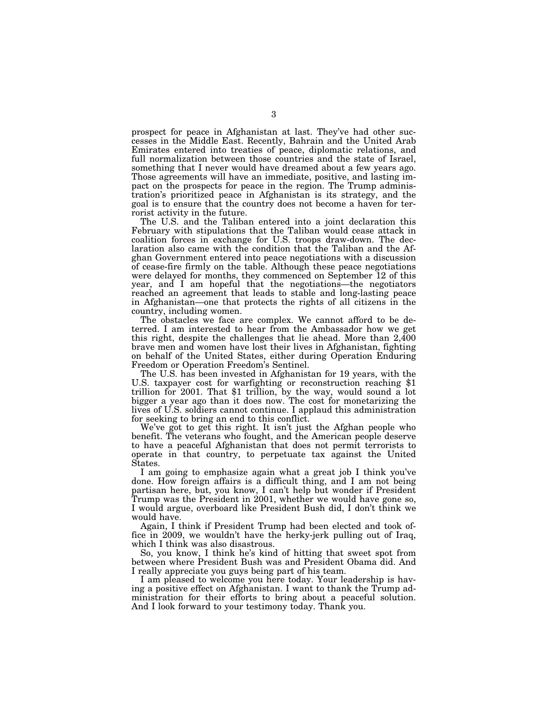prospect for peace in Afghanistan at last. They've had other successes in the Middle East. Recently, Bahrain and the United Arab Emirates entered into treaties of peace, diplomatic relations, and full normalization between those countries and the state of Israel, something that I never would have dreamed about a few years ago. Those agreements will have an immediate, positive, and lasting impact on the prospects for peace in the region. The Trump administration's prioritized peace in Afghanistan is its strategy, and the goal is to ensure that the country does not become a haven for terrorist activity in the future.

The U.S. and the Taliban entered into a joint declaration this February with stipulations that the Taliban would cease attack in coalition forces in exchange for U.S. troops draw-down. The declaration also came with the condition that the Taliban and the Afghan Government entered into peace negotiations with a discussion of cease-fire firmly on the table. Although these peace negotiations were delayed for months, they commenced on September 12 of this year, and I am hopeful that the negotiations—the negotiators reached an agreement that leads to stable and long-lasting peace in Afghanistan—one that protects the rights of all citizens in the country, including women.

The obstacles we face are complex. We cannot afford to be deterred. I am interested to hear from the Ambassador how we get this right, despite the challenges that lie ahead. More than 2,400 brave men and women have lost their lives in Afghanistan, fighting on behalf of the United States, either during Operation Enduring Freedom or Operation Freedom's Sentinel.<br>The U.S. has been invested in Afghanistan for 19 years, with the

The U.S. has been invested in Afghanistan for 19 years, with the U.S. taxpayer cost for warfighting or reconstruction reaching \$1 trillion for 2001. That \$1 trillion, by the way, would sound a lot bigger a year ago than it does now. The cost for monetarizing the lives of U.S. soldiers cannot continue. I applaud this administration for seeking to bring an end to this conflict.

We've got to get this right. It isn't just the Afghan people who benefit. The veterans who fought, and the American people deserve to have a peaceful Afghanistan that does not permit terrorists to operate in that country, to perpetuate tax against the United States.

I am going to emphasize again what a great job I think you've done. How foreign affairs is a difficult thing, and I am not being partisan here, but, you know, I can't help but wonder if President Trump was the President in 2001, whether we would have gone so, I would argue, overboard like President Bush did, I don't think we would have.

Again, I think if President Trump had been elected and took office in 2009, we wouldn't have the herky-jerk pulling out of Iraq, which I think was also disastrous.

So, you know, I think he's kind of hitting that sweet spot from between where President Bush was and President Obama did. And I really appreciate you guys being part of his team.

I am pleased to welcome you here today. Your leadership is having a positive effect on Afghanistan. I want to thank the Trump administration for their efforts to bring about a peaceful solution. And I look forward to your testimony today. Thank you.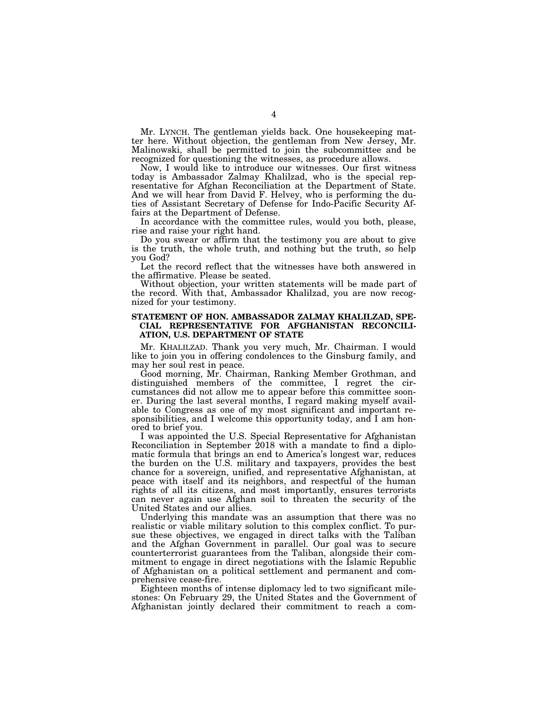Mr. LYNCH. The gentleman yields back. One housekeeping matter here. Without objection, the gentleman from New Jersey, Mr. Malinowski, shall be permitted to join the subcommittee and be recognized for questioning the witnesses, as procedure allows.

Now, I would like to introduce our witnesses. Our first witness today is Ambassador Zalmay Khalilzad, who is the special representative for Afghan Reconciliation at the Department of State. And we will hear from David F. Helvey, who is performing the duties of Assistant Secretary of Defense for Indo-Pacific Security Affairs at the Department of Defense.

In accordance with the committee rules, would you both, please, rise and raise your right hand.

Do you swear or affirm that the testimony you are about to give is the truth, the whole truth, and nothing but the truth, so help you God?

Let the record reflect that the witnesses have both answered in the affirmative. Please be seated.

Without objection, your written statements will be made part of the record. With that, Ambassador Khalilzad, you are now recognized for your testimony.

#### **STATEMENT OF HON. AMBASSADOR ZALMAY KHALILZAD, SPE-CIAL REPRESENTATIVE FOR AFGHANISTAN RECONCILI-ATION, U.S. DEPARTMENT OF STATE**

Mr. KHALILZAD. Thank you very much, Mr. Chairman. I would like to join you in offering condolences to the Ginsburg family, and may her soul rest in peace.

Good morning, Mr. Chairman, Ranking Member Grothman, and distinguished members of the committee, I regret the circumstances did not allow me to appear before this committee sooner. During the last several months, I regard making myself available to Congress as one of my most significant and important responsibilities, and I welcome this opportunity today, and I am honored to brief you.

I was appointed the U.S. Special Representative for Afghanistan Reconciliation in September 2018 with a mandate to find a diplomatic formula that brings an end to America's longest war, reduces the burden on the U.S. military and taxpayers, provides the best chance for a sovereign, unified, and representative Afghanistan, at peace with itself and its neighbors, and respectful of the human rights of all its citizens, and most importantly, ensures terrorists can never again use Afghan soil to threaten the security of the United States and our allies.

Underlying this mandate was an assumption that there was no realistic or viable military solution to this complex conflict. To pursue these objectives, we engaged in direct talks with the Taliban and the Afghan Government in parallel. Our goal was to secure counterterrorist guarantees from the Taliban, alongside their commitment to engage in direct negotiations with the Islamic Republic of Afghanistan on a political settlement and permanent and comprehensive cease-fire.

Eighteen months of intense diplomacy led to two significant milestones: On February 29, the United States and the Government of Afghanistan jointly declared their commitment to reach a com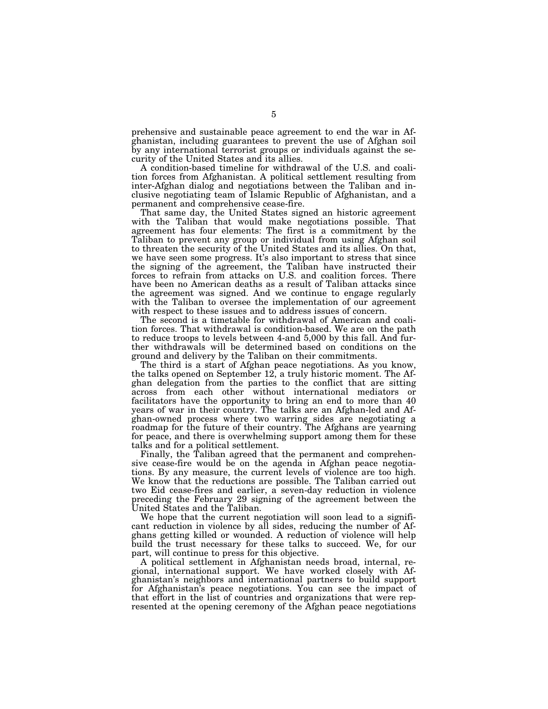prehensive and sustainable peace agreement to end the war in Afghanistan, including guarantees to prevent the use of Afghan soil by any international terrorist groups or individuals against the security of the United States and its allies.

A condition-based timeline for withdrawal of the U.S. and coalition forces from Afghanistan. A political settlement resulting from inter-Afghan dialog and negotiations between the Taliban and inclusive negotiating team of Islamic Republic of Afghanistan, and a permanent and comprehensive cease-fire.

That same day, the United States signed an historic agreement with the Taliban that would make negotiations possible. That agreement has four elements: The first is a commitment by the Taliban to prevent any group or individual from using Afghan soil to threaten the security of the United States and its allies. On that, we have seen some progress. It's also important to stress that since the signing of the agreement, the Taliban have instructed their forces to refrain from attacks on U.S. and coalition forces. There have been no American deaths as a result of Taliban attacks since the agreement was signed. And we continue to engage regularly with the Taliban to oversee the implementation of our agreement with respect to these issues and to address issues of concern.

The second is a timetable for withdrawal of American and coalition forces. That withdrawal is condition-based. We are on the path to reduce troops to levels between 4-and 5,000 by this fall. And further withdrawals will be determined based on conditions on the ground and delivery by the Taliban on their commitments.

The third is a start of Afghan peace negotiations. As you know, the talks opened on September 12, a truly historic moment. The Afghan delegation from the parties to the conflict that are sitting across from each other without international mediators or facilitators have the opportunity to bring an end to more than 40 years of war in their country. The talks are an Afghan-led and Afghan-owned process where two warring sides are negotiating a roadmap for the future of their country. The Afghans are yearning for peace, and there is overwhelming support among them for these talks and for a political settlement.

Finally, the Taliban agreed that the permanent and comprehensive cease-fire would be on the agenda in Afghan peace negotiations. By any measure, the current levels of violence are too high. We know that the reductions are possible. The Taliban carried out two Eid cease-fires and earlier, a seven-day reduction in violence preceding the February 29 signing of the agreement between the United States and the Taliban.

We hope that the current negotiation will soon lead to a significant reduction in violence by all sides, reducing the number of Afghans getting killed or wounded. A reduction of violence will help build the trust necessary for these talks to succeed. We, for our part, will continue to press for this objective.

A political settlement in Afghanistan needs broad, internal, regional, international support. We have worked closely with Afghanistan's neighbors and international partners to build support for Afghanistan's peace negotiations. You can see the impact of that effort in the list of countries and organizations that were represented at the opening ceremony of the Afghan peace negotiations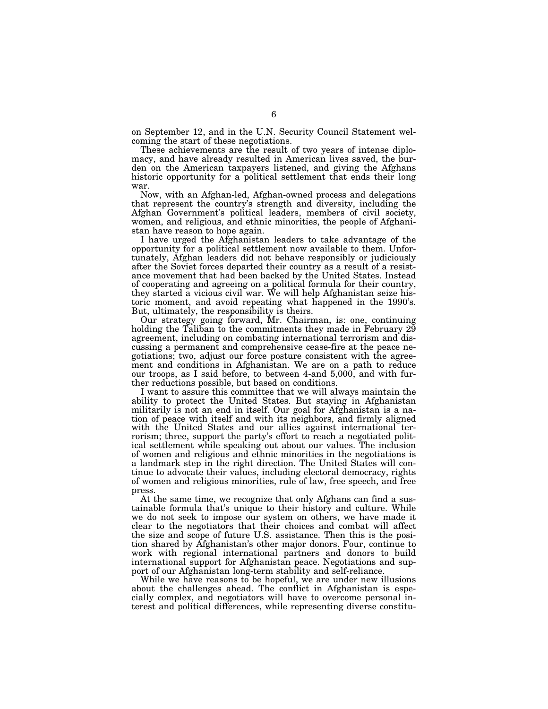on September 12, and in the U.N. Security Council Statement welcoming the start of these negotiations.

These achievements are the result of two years of intense diplomacy, and have already resulted in American lives saved, the burden on the American taxpayers listened, and giving the Afghans historic opportunity for a political settlement that ends their long war.

Now, with an Afghan-led, Afghan-owned process and delegations that represent the country's strength and diversity, including the Afghan Government's political leaders, members of civil society, women, and religious, and ethnic minorities, the people of Afghanistan have reason to hope again.

I have urged the Afghanistan leaders to take advantage of the opportunity for a political settlement now available to them. Unfortunately, Afghan leaders did not behave responsibly or judiciously after the Soviet forces departed their country as a result of a resistance movement that had been backed by the United States. Instead of cooperating and agreeing on a political formula for their country, they started a vicious civil war. We will help Afghanistan seize historic moment, and avoid repeating what happened in the 1990's. But, ultimately, the responsibility is theirs.

Our strategy going forward, Mr. Chairman, is: one, continuing holding the Taliban to the commitments they made in February 29 agreement, including on combating international terrorism and discussing a permanent and comprehensive cease-fire at the peace negotiations; two, adjust our force posture consistent with the agreement and conditions in Afghanistan. We are on a path to reduce our troops, as I said before, to between 4-and 5,000, and with further reductions possible, but based on conditions.

I want to assure this committee that we will always maintain the ability to protect the United States. But staying in Afghanistan militarily is not an end in itself. Our goal for Afghanistan is a nation of peace with itself and with its neighbors, and firmly aligned with the United States and our allies against international terrorism; three, support the party's effort to reach a negotiated political settlement while speaking out about our values. The inclusion of women and religious and ethnic minorities in the negotiations is a landmark step in the right direction. The United States will continue to advocate their values, including electoral democracy, rights of women and religious minorities, rule of law, free speech, and free press.

At the same time, we recognize that only Afghans can find a sustainable formula that's unique to their history and culture. While we do not seek to impose our system on others, we have made it clear to the negotiators that their choices and combat will affect the size and scope of future U.S. assistance. Then this is the position shared by Afghanistan's other major donors. Four, continue to work with regional international partners and donors to build international support for Afghanistan peace. Negotiations and support of our Afghanistan long-term stability and self-reliance.

While we have reasons to be hopeful, we are under new illusions about the challenges ahead. The conflict in Afghanistan is especially complex, and negotiators will have to overcome personal interest and political differences, while representing diverse constitu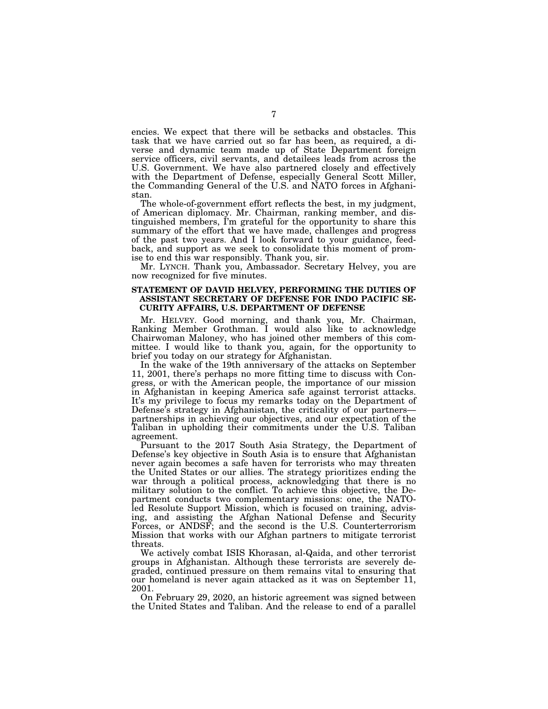encies. We expect that there will be setbacks and obstacles. This task that we have carried out so far has been, as required, a diverse and dynamic team made up of State Department foreign service officers, civil servants, and detailees leads from across the U.S. Government. We have also partnered closely and effectively with the Department of Defense, especially General Scott Miller, the Commanding General of the U.S. and NATO forces in Afghanistan.

The whole-of-government effort reflects the best, in my judgment, of American diplomacy. Mr. Chairman, ranking member, and distinguished members, I'm grateful for the opportunity to share this summary of the effort that we have made, challenges and progress of the past two years. And I look forward to your guidance, feedback, and support as we seek to consolidate this moment of promise to end this war responsibly. Thank you, sir.

Mr. LYNCH. Thank you, Ambassador. Secretary Helvey, you are now recognized for five minutes.

#### **STATEMENT OF DAVID HELVEY, PERFORMING THE DUTIES OF ASSISTANT SECRETARY OF DEFENSE FOR INDO PACIFIC SE-CURITY AFFAIRS, U.S. DEPARTMENT OF DEFENSE**

Mr. HELVEY. Good morning, and thank you, Mr. Chairman, Ranking Member Grothman. I would also like to acknowledge Chairwoman Maloney, who has joined other members of this committee. I would like to thank you, again, for the opportunity to brief you today on our strategy for Afghanistan.

In the wake of the 19th anniversary of the attacks on September 11, 2001, there's perhaps no more fitting time to discuss with Congress, or with the American people, the importance of our mission in Afghanistan in keeping America safe against terrorist attacks. It's my privilege to focus my remarks today on the Department of Defense's strategy in Afghanistan, the criticality of our partners partnerships in achieving our objectives, and our expectation of the Taliban in upholding their commitments under the U.S. Taliban agreement.

Pursuant to the 2017 South Asia Strategy, the Department of Defense's key objective in South Asia is to ensure that Afghanistan never again becomes a safe haven for terrorists who may threaten the United States or our allies. The strategy prioritizes ending the war through a political process, acknowledging that there is no military solution to the conflict. To achieve this objective, the Department conducts two complementary missions: one, the NATOled Resolute Support Mission, which is focused on training, advising, and assisting the Afghan National Defense and Security Forces, or ANDSF; and the second is the U.S. Counterterrorism Mission that works with our Afghan partners to mitigate terrorist threats.

We actively combat ISIS Khorasan, al-Qaida, and other terrorist groups in Afghanistan. Although these terrorists are severely degraded, continued pressure on them remains vital to ensuring that our homeland is never again attacked as it was on September 11, 2001.

On February 29, 2020, an historic agreement was signed between the United States and Taliban. And the release to end of a parallel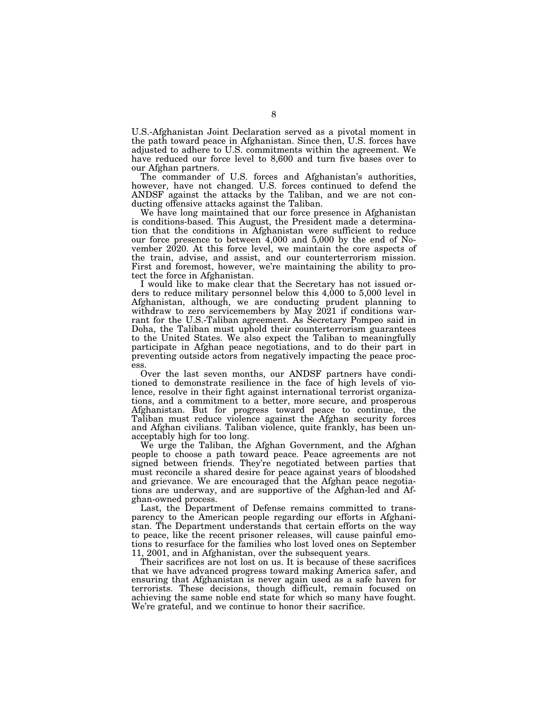U.S.-Afghanistan Joint Declaration served as a pivotal moment in the path toward peace in Afghanistan. Since then, U.S. forces have adjusted to adhere to U.S. commitments within the agreement. We have reduced our force level to 8,600 and turn five bases over to our Afghan partners.

The commander of U.S. forces and Afghanistan's authorities, however, have not changed. U.S. forces continued to defend the ANDSF against the attacks by the Taliban, and we are not conducting offensive attacks against the Taliban.

We have long maintained that our force presence in Afghanistan is conditions-based. This August, the President made a determination that the conditions in Afghanistan were sufficient to reduce our force presence to between 4,000 and 5,000 by the end of November 2020. At this force level, we maintain the core aspects of the train, advise, and assist, and our counterterrorism mission. First and foremost, however, we're maintaining the ability to protect the force in Afghanistan.

I would like to make clear that the Secretary has not issued orders to reduce military personnel below this 4,000 to 5,000 level in Afghanistan, although, we are conducting prudent planning to withdraw to zero servicemembers by May 2021 if conditions warrant for the U.S.-Taliban agreement. As Secretary Pompeo said in Doha, the Taliban must uphold their counterterrorism guarantees to the United States. We also expect the Taliban to meaningfully participate in Afghan peace negotiations, and to do their part in preventing outside actors from negatively impacting the peace process.

Over the last seven months, our ANDSF partners have conditioned to demonstrate resilience in the face of high levels of violence, resolve in their fight against international terrorist organizations, and a commitment to a better, more secure, and prosperous Afghanistan. But for progress toward peace to continue, the Taliban must reduce violence against the Afghan security forces and Afghan civilians. Taliban violence, quite frankly, has been unacceptably high for too long.

We urge the Taliban, the Afghan Government, and the Afghan people to choose a path toward peace. Peace agreements are not signed between friends. They're negotiated between parties that must reconcile a shared desire for peace against years of bloodshed and grievance. We are encouraged that the Afghan peace negotiations are underway, and are supportive of the Afghan-led and Afghan-owned process.

Last, the Department of Defense remains committed to transparency to the American people regarding our efforts in Afghanistan. The Department understands that certain efforts on the way to peace, like the recent prisoner releases, will cause painful emotions to resurface for the families who lost loved ones on September 11, 2001, and in Afghanistan, over the subsequent years.

Their sacrifices are not lost on us. It is because of these sacrifices that we have advanced progress toward making America safer, and ensuring that Afghanistan is never again used as a safe haven for terrorists. These decisions, though difficult, remain focused on achieving the same noble end state for which so many have fought. We're grateful, and we continue to honor their sacrifice.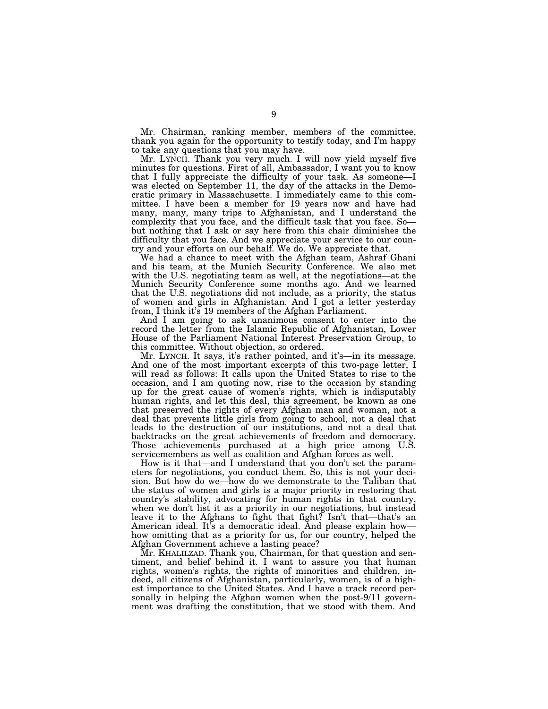Mr. Chairman, ranking member, members of the committee, thank you again for the opportunity to testify today, and I'm happy to take any questions that you may have.

Mr. LYNCH. Thank you very much. I will now yield myself five minutes for questions. First of all, Ambassador, I want you to know that I fully appreciate the difficulty of your task. As someone—I was elected on September 11, the day of the attacks in the Democratic primary in Massachusetts. I immediately came to this committee. I have been a member for 19 years now and have had many, many, many trips to Afghanistan, and I understand the complexity that you face, and the difficult task that you face. So but nothing that I ask or say here from this chair diminishes the difficulty that you face. And we appreciate your service to our country and your efforts on our behalf. We do. We appreciate that.

We had a chance to meet with the Afghan team, Ashraf Ghani and his team, at the Munich Security Conference. We also met with the U.S. negotiating team as well, at the negotiations—at the Munich Security Conference some months ago. And we learned that the U.S. negotiations did not include, as a priority, the status of women and girls in Afghanistan. And I got a letter yesterday from, I think it's 19 members of the Afghan Parliament.

And I am going to ask unanimous consent to enter into the record the letter from the Islamic Republic of Afghanistan, Lower House of the Parliament National Interest Preservation Group, to this committee. Without objection, so ordered.

Mr. LYNCH. It says, it's rather pointed, and it's—in its message. And one of the most important excerpts of this two-page letter, I will read as follows: It calls upon the United States to rise to the occasion, and I am quoting now, rise to the occasion by standing up for the great cause of women's rights, which is indisputably human rights, and let this deal, this agreement, be known as one that preserved the rights of every Afghan man and woman, not a deal that prevents little girls from going to school, not a deal that leads to the destruction of our institutions, and not a deal that backtracks on the great achievements of freedom and democracy. Those achievements purchased at a high price among U.S. servicemembers as well as coalition and Afghan forces as well.

How is it that—and I understand that you don't set the parameters for negotiations, you conduct them. So, this is not your decision. But how do we—how do we demonstrate to the Taliban that the status of women and girls is a major priority in restoring that country's stability, advocating for human rights in that country, when we don't list it as a priority in our negotiations, but instead leave it to the Afghans to fight that fight? Isn't that—that's an American ideal. It's a democratic ideal. And please explain how how omitting that as a priority for us, for our country, helped the Afghan Government achieve a lasting peace?

Mr. KHALILZAD. Thank you, Chairman, for that question and sentiment, and belief behind it. I want to assure you that human rights, women's rights, the rights of minorities and children, indeed, all citizens of Afghanistan, particularly, women, is of a highest importance to the United States. And I have a track record personally in helping the Afghan women when the post-9/11 government was drafting the constitution, that we stood with them. And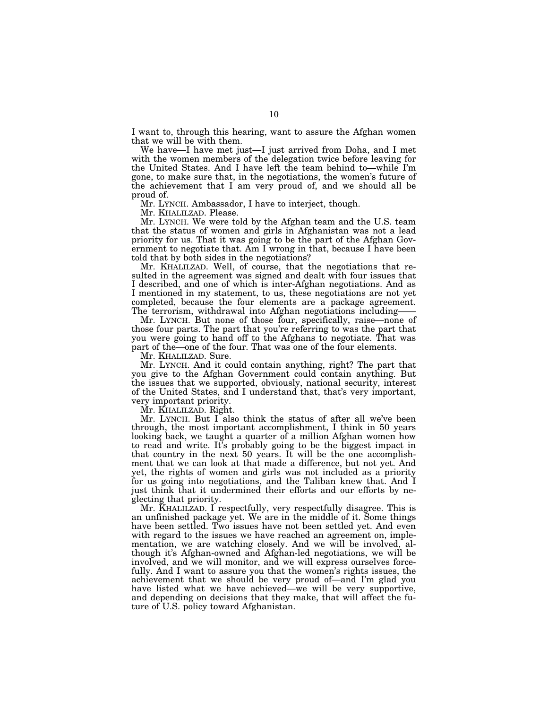I want to, through this hearing, want to assure the Afghan women that we will be with them.

We have—I have met just—I just arrived from Doha, and I met with the women members of the delegation twice before leaving for the United States. And I have left the team behind to—while I'm gone, to make sure that, in the negotiations, the women's future of the achievement that I am very proud of, and we should all be proud of.

Mr. LYNCH. Ambassador, I have to interject, though.

Mr. KHALILZAD. Please.

Mr. LYNCH. We were told by the Afghan team and the U.S. team that the status of women and girls in Afghanistan was not a lead priority for us. That it was going to be the part of the Afghan Government to negotiate that. Am I wrong in that, because I have been told that by both sides in the negotiations?

Mr. KHALILZAD. Well, of course, that the negotiations that resulted in the agreement was signed and dealt with four issues that I described, and one of which is inter-Afghan negotiations. And as I mentioned in my statement, to us, these negotiations are not yet completed, because the four elements are a package agreement. The terrorism, withdrawal into Afghan negotiations including——

Mr. LYNCH. But none of those four, specifically, raise—none of those four parts. The part that you're referring to was the part that you were going to hand off to the Afghans to negotiate. That was part of the—one of the four. That was one of the four elements.

Mr. KHALILZAD. Sure.

Mr. LYNCH. And it could contain anything, right? The part that you give to the Afghan Government could contain anything. But the issues that we supported, obviously, national security, interest of the United States, and I understand that, that's very important, very important priority.

Mr. KHALILZAD. Right.

Mr. LYNCH. But I also think the status of after all we've been through, the most important accomplishment, I think in 50 years looking back, we taught a quarter of a million Afghan women how to read and write. It's probably going to be the biggest impact in that country in the next 50 years. It will be the one accomplishment that we can look at that made a difference, but not yet. And yet, the rights of women and girls was not included as a priority for us going into negotiations, and the Taliban knew that. And I just think that it undermined their efforts and our efforts by neglecting that priority.

Mr. KHALILZAD. I respectfully, very respectfully disagree. This is an unfinished package yet. We are in the middle of it. Some things have been settled. Two issues have not been settled yet. And even with regard to the issues we have reached an agreement on, implementation, we are watching closely. And we will be involved, although it's Afghan-owned and Afghan-led negotiations, we will be involved, and we will monitor, and we will express ourselves forcefully. And I want to assure you that the women's rights issues, the achievement that we should be very proud of—and I'm glad you have listed what we have achieved—we will be very supportive, and depending on decisions that they make, that will affect the future of U.S. policy toward Afghanistan.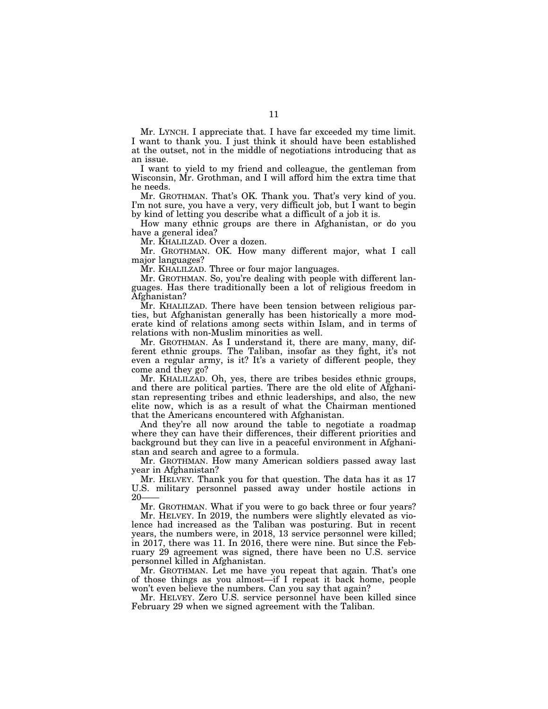Mr. LYNCH. I appreciate that. I have far exceeded my time limit. I want to thank you. I just think it should have been established at the outset, not in the middle of negotiations introducing that as an issue.

I want to yield to my friend and colleague, the gentleman from Wisconsin, Mr. Grothman, and I will afford him the extra time that he needs.

Mr. GROTHMAN. That's OK. Thank you. That's very kind of you. I'm not sure, you have a very, very difficult job, but I want to begin by kind of letting you describe what a difficult of a job it is.

How many ethnic groups are there in Afghanistan, or do you have a general idea?

Mr. KHALILZAD. Over a dozen.

Mr. GROTHMAN. OK. How many different major, what I call major languages?

Mr. KHALILZAD. Three or four major languages.

Mr. GROTHMAN. So, you're dealing with people with different languages. Has there traditionally been a lot of religious freedom in Afghanistan?

Mr. KHALILZAD. There have been tension between religious parties, but Afghanistan generally has been historically a more moderate kind of relations among sects within Islam, and in terms of relations with non-Muslim minorities as well.

Mr. GROTHMAN. As I understand it, there are many, many, different ethnic groups. The Taliban, insofar as they fight, it's not even a regular army, is it? It's a variety of different people, they come and they go?

Mr. KHALILZAD. Oh, yes, there are tribes besides ethnic groups, and there are political parties. There are the old elite of Afghanistan representing tribes and ethnic leaderships, and also, the new elite now, which is as a result of what the Chairman mentioned that the Americans encountered with Afghanistan.

And they're all now around the table to negotiate a roadmap where they can have their differences, their different priorities and background but they can live in a peaceful environment in Afghanistan and search and agree to a formula.

Mr. GROTHMAN. How many American soldiers passed away last year in Afghanistan?

Mr. HELVEY. Thank you for that question. The data has it as 17 U.S. military personnel passed away under hostile actions in  $20-$ 

Mr. GROTHMAN. What if you were to go back three or four years?

Mr. HELVEY. In 2019, the numbers were slightly elevated as violence had increased as the Taliban was posturing. But in recent years, the numbers were, in 2018, 13 service personnel were killed; in 2017, there was 11. In 2016, there were nine. But since the February 29 agreement was signed, there have been no U.S. service personnel killed in Afghanistan.

Mr. GROTHMAN. Let me have you repeat that again. That's one of those things as you almost—if I repeat it back home, people won't even believe the numbers. Can you say that again?

Mr. HELVEY. Zero U.S. service personnel have been killed since February 29 when we signed agreement with the Taliban.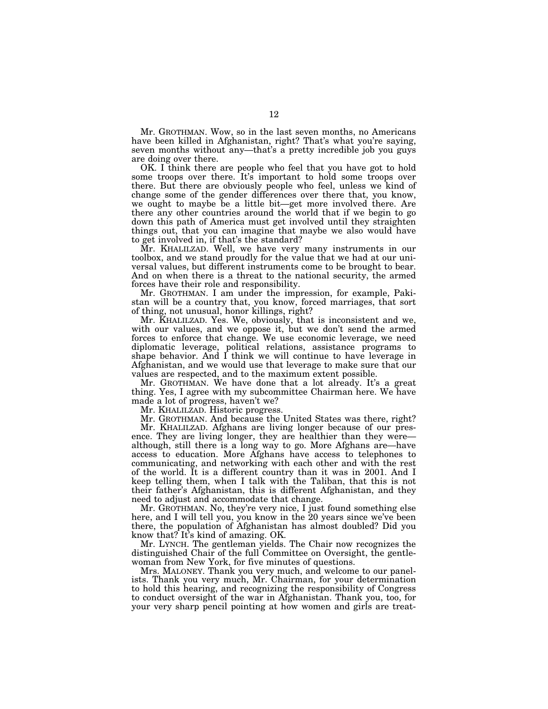Mr. GROTHMAN. Wow, so in the last seven months, no Americans have been killed in Afghanistan, right? That's what you're saying, seven months without any—that's a pretty incredible job you guys are doing over there.

OK. I think there are people who feel that you have got to hold some troops over there. It's important to hold some troops over there. But there are obviously people who feel, unless we kind of change some of the gender differences over there that, you know, we ought to maybe be a little bit—get more involved there. Are there any other countries around the world that if we begin to go down this path of America must get involved until they straighten things out, that you can imagine that maybe we also would have to get involved in, if that's the standard?

Mr. KHALILZAD. Well, we have very many instruments in our toolbox, and we stand proudly for the value that we had at our universal values, but different instruments come to be brought to bear. And on when there is a threat to the national security, the armed forces have their role and responsibility.

Mr. GROTHMAN. I am under the impression, for example, Pakistan will be a country that, you know, forced marriages, that sort of thing, not unusual, honor killings, right?

Mr. KHALILZAD. Yes. We, obviously, that is inconsistent and we, with our values, and we oppose it, but we don't send the armed forces to enforce that change. We use economic leverage, we need diplomatic leverage, political relations, assistance programs to shape behavior. And I think we will continue to have leverage in Afghanistan, and we would use that leverage to make sure that our values are respected, and to the maximum extent possible.

Mr. GROTHMAN. We have done that a lot already. It's a great thing. Yes, I agree with my subcommittee Chairman here. We have made a lot of progress, haven't we?

Mr. KHALILZAD. Historic progress.

Mr. GROTHMAN. And because the United States was there, right?

Mr. KHALILZAD. Afghans are living longer because of our presence. They are living longer, they are healthier than they were although, still there is a long way to go. More Afghans are—have access to education. More Afghans have access to telephones to communicating, and networking with each other and with the rest of the world. It is a different country than it was in 2001. And I keep telling them, when I talk with the Taliban, that this is not their father's Afghanistan, this is different Afghanistan, and they need to adjust and accommodate that change.

Mr. GROTHMAN. No, they're very nice, I just found something else here, and I will tell you, you know in the 20 years since we've been there, the population of Afghanistan has almost doubled? Did you know that? It's kind of amazing. OK.

Mr. LYNCH. The gentleman yields. The Chair now recognizes the distinguished Chair of the full Committee on Oversight, the gentlewoman from New York, for five minutes of questions.

Mrs. MALONEY. Thank you very much, and welcome to our panelists. Thank you very much, Mr. Chairman, for your determination to hold this hearing, and recognizing the responsibility of Congress to conduct oversight of the war in Afghanistan. Thank you, too, for your very sharp pencil pointing at how women and girls are treat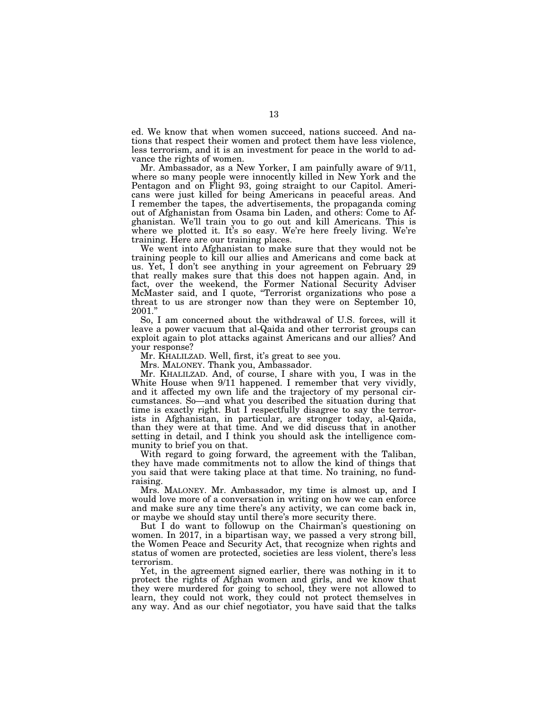ed. We know that when women succeed, nations succeed. And nations that respect their women and protect them have less violence, less terrorism, and it is an investment for peace in the world to advance the rights of women.

Mr. Ambassador, as a New Yorker, I am painfully aware of 9/11, where so many people were innocently killed in New York and the Pentagon and on Flight 93, going straight to our Capitol. Americans were just killed for being Americans in peaceful areas. And I remember the tapes, the advertisements, the propaganda coming out of Afghanistan from Osama bin Laden, and others: Come to Afghanistan. We'll train you to go out and kill Americans. This is where we plotted it. It's so easy. We're here freely living. We're training. Here are our training places.

We went into Afghanistan to make sure that they would not be training people to kill our allies and Americans and come back at us. Yet, I don't see anything in your agreement on February 29 that really makes sure that this does not happen again. And, in fact, over the weekend, the Former National Security Adviser McMaster said, and I quote, ''Terrorist organizations who pose a threat to us are stronger now than they were on September 10, 2001.''

So, I am concerned about the withdrawal of U.S. forces, will it leave a power vacuum that al-Qaida and other terrorist groups can exploit again to plot attacks against Americans and our allies? And your response?

Mr. KHALILZAD. Well, first, it's great to see you.

Mrs. MALONEY. Thank you, Ambassador.

Mr. KHALILZAD. And, of course, I share with you, I was in the White House when 9/11 happened. I remember that very vividly, and it affected my own life and the trajectory of my personal circumstances. So—and what you described the situation during that time is exactly right. But I respectfully disagree to say the terrorists in Afghanistan, in particular, are stronger today, al-Qaida, than they were at that time. And we did discuss that in another setting in detail, and I think you should ask the intelligence community to brief you on that.

With regard to going forward, the agreement with the Taliban, they have made commitments not to allow the kind of things that you said that were taking place at that time. No training, no fundraising.

Mrs. MALONEY. Mr. Ambassador, my time is almost up, and I would love more of a conversation in writing on how we can enforce and make sure any time there's any activity, we can come back in, or maybe we should stay until there's more security there.

But I do want to followup on the Chairman's questioning on women. In 2017, in a bipartisan way, we passed a very strong bill, the Women Peace and Security Act, that recognize when rights and status of women are protected, societies are less violent, there's less terrorism.

Yet, in the agreement signed earlier, there was nothing in it to protect the rights of Afghan women and girls, and we know that they were murdered for going to school, they were not allowed to learn, they could not work, they could not protect themselves in any way. And as our chief negotiator, you have said that the talks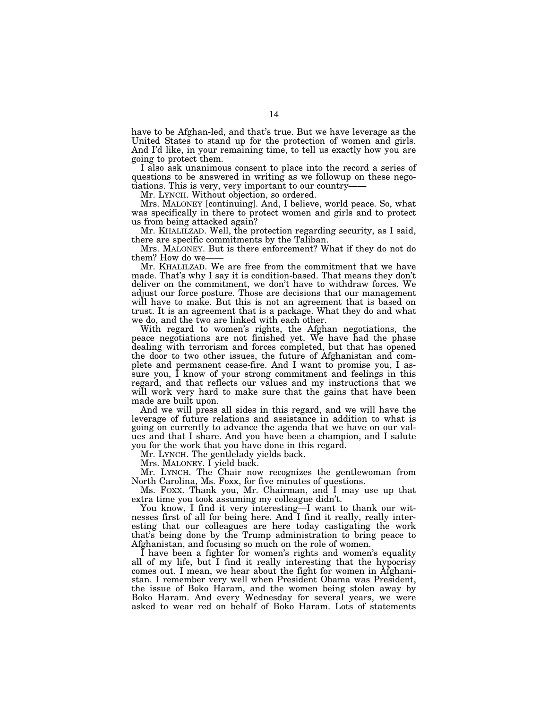have to be Afghan-led, and that's true. But we have leverage as the United States to stand up for the protection of women and girls. And I'd like, in your remaining time, to tell us exactly how you are going to protect them.

I also ask unanimous consent to place into the record a series of questions to be answered in writing as we followup on these negotiations. This is very, very important to our country——

Mr. LYNCH. Without objection, so ordered.

Mrs. MALONEY [continuing]. And, I believe, world peace. So, what was specifically in there to protect women and girls and to protect us from being attacked again?

Mr. KHALILZAD. Well, the protection regarding security, as I said, there are specific commitments by the Taliban.

Mrs. MALONEY. But is there enforcement? What if they do not do them? How do we-

Mr. KHALILZAD. We are free from the commitment that we have made. That's why I say it is condition-based. That means they don't deliver on the commitment, we don't have to withdraw forces. We adjust our force posture. Those are decisions that our management will have to make. But this is not an agreement that is based on trust. It is an agreement that is a package. What they do and what we do, and the two are linked with each other.

With regard to women's rights, the Afghan negotiations, the peace negotiations are not finished yet. We have had the phase dealing with terrorism and forces completed, but that has opened the door to two other issues, the future of Afghanistan and complete and permanent cease-fire. And I want to promise you, I assure you, I know of your strong commitment and feelings in this regard, and that reflects our values and my instructions that we will work very hard to make sure that the gains that have been made are built upon.

And we will press all sides in this regard, and we will have the leverage of future relations and assistance in addition to what is going on currently to advance the agenda that we have on our values and that I share. And you have been a champion, and I salute you for the work that you have done in this regard.

Mr. LYNCH. The gentlelady yields back.

Mrs. MALONEY. I yield back.

Mr. LYNCH. The Chair now recognizes the gentlewoman from North Carolina, Ms. Foxx, for five minutes of questions.

Ms. FOXX. Thank you, Mr. Chairman, and I may use up that extra time you took assuming my colleague didn't.

You know, I find it very interesting—I want to thank our witnesses first of all for being here. And I find it really, really interesting that our colleagues are here today castigating the work that's being done by the Trump administration to bring peace to Afghanistan, and focusing so much on the role of women.

I have been a fighter for women's rights and women's equality all of my life, but I find it really interesting that the hypocrisy comes out. I mean, we hear about the fight for women in Afghanistan. I remember very well when President Obama was President, the issue of Boko Haram, and the women being stolen away by Boko Haram. And every Wednesday for several years, we were asked to wear red on behalf of Boko Haram. Lots of statements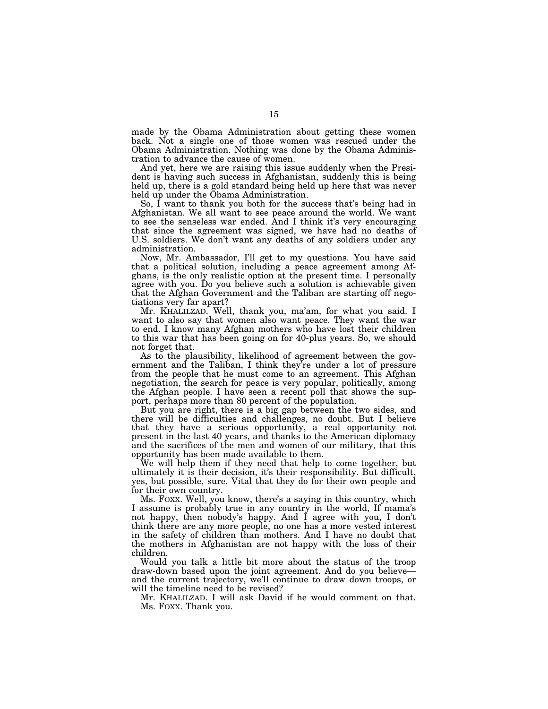made by the Obama Administration about getting these women back. Not a single one of those women was rescued under the Obama Administration. Nothing was done by the Obama Administration to advance the cause of women.

And yet, here we are raising this issue suddenly when the President is having such success in Afghanistan, suddenly this is being held up, there is a gold standard being held up here that was never held up under the Obama Administration.

So, I want to thank you both for the success that's being had in Afghanistan. We all want to see peace around the world. We want to see the senseless war ended. And I think it's very encouraging that since the agreement was signed, we have had no deaths of U.S. soldiers. We don't want any deaths of any soldiers under any administration.

Now, Mr. Ambassador, I'll get to my questions. You have said that a political solution, including a peace agreement among Afghans, is the only realistic option at the present time. I personally agree with you. Do you believe such a solution is achievable given that the Afghan Government and the Taliban are starting off negotiations very far apart?

Mr. KHALILZAD. Well, thank you, ma'am, for what you said. I want to also say that women also want peace. They want the war to end. I know many Afghan mothers who have lost their children to this war that has been going on for 40-plus years. So, we should not forget that.

As to the plausibility, likelihood of agreement between the government and the Taliban, I think they're under a lot of pressure from the people that he must come to an agreement. This Afghan negotiation, the search for peace is very popular, politically, among the Afghan people. I have seen a recent poll that shows the support, perhaps more than 80 percent of the population.

But you are right, there is a big gap between the two sides, and there will be difficulties and challenges, no doubt. But I believe that they have a serious opportunity, a real opportunity not present in the last 40 years, and thanks to the American diplomacy and the sacrifices of the men and women of our military, that this opportunity has been made available to them.

We will help them if they need that help to come together, but ultimately it is their decision, it's their responsibility. But difficult, yes, but possible, sure. Vital that they do for their own people and for their own country.

Ms. FOXX. Well, you know, there's a saying in this country, which I assume is probably true in any country in the world, If mama's not happy, then nobody's happy. And I agree with you, I don't think there are any more people, no one has a more vested interest in the safety of children than mothers. And I have no doubt that the mothers in Afghanistan are not happy with the loss of their children.

Would you talk a little bit more about the status of the troop draw-down based upon the joint agreement. And do you believe and the current trajectory, we'll continue to draw down troops, or will the timeline need to be revised?

Mr. KHALILZAD. I will ask David if he would comment on that. Ms. FOXX. Thank you.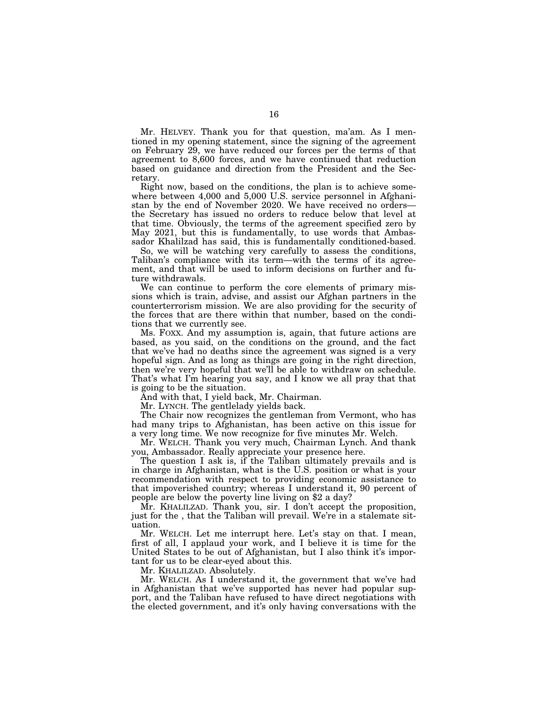Mr. HELVEY. Thank you for that question, ma'am. As I mentioned in my opening statement, since the signing of the agreement on February 29, we have reduced our forces per the terms of that agreement to 8,600 forces, and we have continued that reduction based on guidance and direction from the President and the Secretary.

Right now, based on the conditions, the plan is to achieve somewhere between 4,000 and 5,000 U.S. service personnel in Afghanistan by the end of November 2020. We have received no orders the Secretary has issued no orders to reduce below that level at that time. Obviously, the terms of the agreement specified zero by May 2021, but this is fundamentally, to use words that Ambassador Khalilzad has said, this is fundamentally conditioned-based.

So, we will be watching very carefully to assess the conditions, Taliban's compliance with its term—with the terms of its agreement, and that will be used to inform decisions on further and future withdrawals.

We can continue to perform the core elements of primary missions which is train, advise, and assist our Afghan partners in the counterterrorism mission. We are also providing for the security of the forces that are there within that number, based on the conditions that we currently see.

Ms. FOXX. And my assumption is, again, that future actions are based, as you said, on the conditions on the ground, and the fact that we've had no deaths since the agreement was signed is a very hopeful sign. And as long as things are going in the right direction, then we're very hopeful that we'll be able to withdraw on schedule. That's what I'm hearing you say, and I know we all pray that that is going to be the situation.

And with that, I yield back, Mr. Chairman.

Mr. LYNCH. The gentlelady yields back.

The Chair now recognizes the gentleman from Vermont, who has had many trips to Afghanistan, has been active on this issue for a very long time. We now recognize for five minutes Mr. Welch.

Mr. WELCH. Thank you very much, Chairman Lynch. And thank you, Ambassador. Really appreciate your presence here.

The question I ask is, if the Taliban ultimately prevails and is in charge in Afghanistan, what is the U.S. position or what is your recommendation with respect to providing economic assistance to that impoverished country; whereas I understand it, 90 percent of people are below the poverty line living on \$2 a day?

Mr. KHALILZAD. Thank you, sir. I don't accept the proposition, just for the , that the Taliban will prevail. We're in a stalemate situation.

Mr. WELCH. Let me interrupt here. Let's stay on that. I mean, first of all, I applaud your work, and I believe it is time for the United States to be out of Afghanistan, but I also think it's important for us to be clear-eyed about this.

Mr. KHALILZAD. Absolutely.

Mr. WELCH. As I understand it, the government that we've had in Afghanistan that we've supported has never had popular support, and the Taliban have refused to have direct negotiations with the elected government, and it's only having conversations with the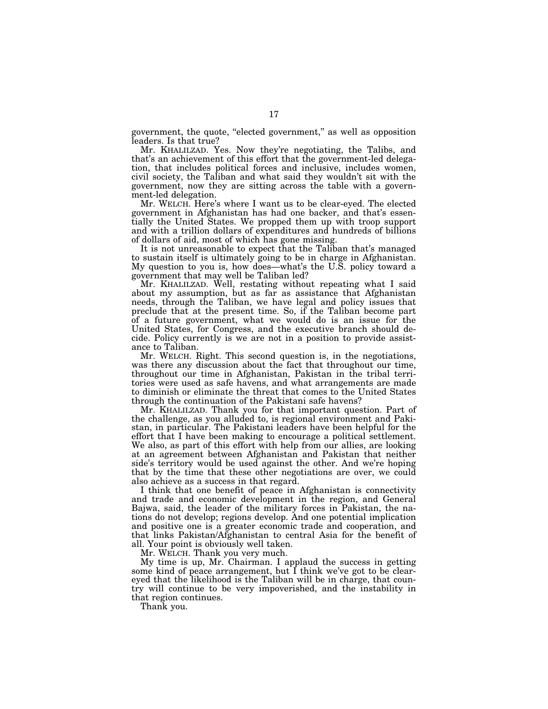government, the quote, ''elected government,'' as well as opposition leaders. Is that true?

Mr. KHALILZAD. Yes. Now they're negotiating, the Talibs, and that's an achievement of this effort that the government-led delegation, that includes political forces and inclusive, includes women, civil society, the Taliban and what said they wouldn't sit with the government, now they are sitting across the table with a government-led delegation.

Mr. WELCH. Here's where I want us to be clear-eyed. The elected government in Afghanistan has had one backer, and that's essentially the United States. We propped them up with troop support and with a trillion dollars of expenditures and hundreds of billions of dollars of aid, most of which has gone missing.

It is not unreasonable to expect that the Taliban that's managed to sustain itself is ultimately going to be in charge in Afghanistan. My question to you is, how does—what's the U.S. policy toward a government that may well be Taliban led?

Mr. KHALILZAD. Well, restating without repeating what I said about my assumption, but as far as assistance that Afghanistan needs, through the Taliban, we have legal and policy issues that preclude that at the present time. So, if the Taliban become part of a future government, what we would do is an issue for the United States, for Congress, and the executive branch should decide. Policy currently is we are not in a position to provide assistance to Taliban.

Mr. WELCH. Right. This second question is, in the negotiations, was there any discussion about the fact that throughout our time, throughout our time in Afghanistan, Pakistan in the tribal territories were used as safe havens, and what arrangements are made to diminish or eliminate the threat that comes to the United States through the continuation of the Pakistani safe havens?

Mr. KHALILZAD. Thank you for that important question. Part of the challenge, as you alluded to, is regional environment and Pakistan, in particular. The Pakistani leaders have been helpful for the effort that I have been making to encourage a political settlement. We also, as part of this effort with help from our allies, are looking at an agreement between Afghanistan and Pakistan that neither side's territory would be used against the other. And we're hoping that by the time that these other negotiations are over, we could also achieve as a success in that regard.

I think that one benefit of peace in Afghanistan is connectivity and trade and economic development in the region, and General Bajwa, said, the leader of the military forces in Pakistan, the nations do not develop; regions develop. And one potential implication and positive one is a greater economic trade and cooperation, and that links Pakistan/Afghanistan to central Asia for the benefit of all. Your point is obviously well taken.

Mr. WELCH. Thank you very much.

My time is up, Mr. Chairman. I applaud the success in getting some kind of peace arrangement, but I think we've got to be cleareyed that the likelihood is the Taliban will be in charge, that country will continue to be very impoverished, and the instability in that region continues.

Thank you.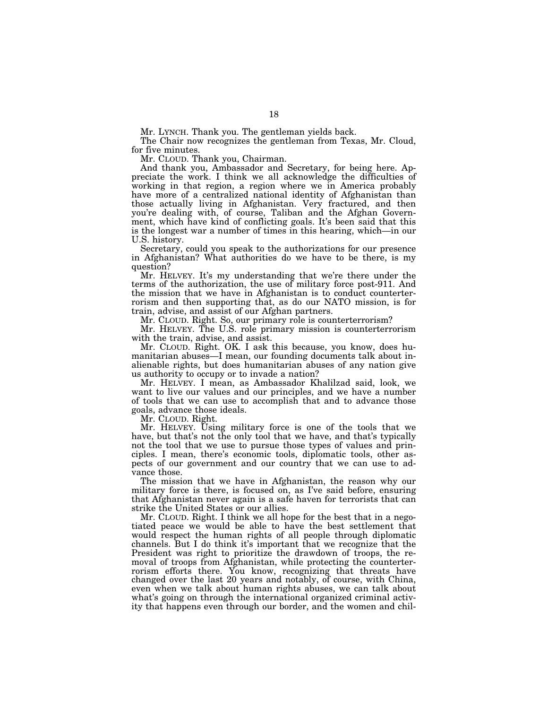Mr. LYNCH. Thank you. The gentleman yields back.

The Chair now recognizes the gentleman from Texas, Mr. Cloud, for five minutes.

Mr. CLOUD. Thank you, Chairman.

And thank you, Ambassador and Secretary, for being here. Appreciate the work. I think we all acknowledge the difficulties of working in that region, a region where we in America probably have more of a centralized national identity of Afghanistan than those actually living in Afghanistan. Very fractured, and then you're dealing with, of course, Taliban and the Afghan Government, which have kind of conflicting goals. It's been said that this is the longest war a number of times in this hearing, which—in our U.S. history.

Secretary, could you speak to the authorizations for our presence in Afghanistan? What authorities do we have to be there, is my question?

Mr. HELVEY. It's my understanding that we're there under the terms of the authorization, the use of military force post-911. And the mission that we have in Afghanistan is to conduct counterterrorism and then supporting that, as do our NATO mission, is for train, advise, and assist of our Afghan partners.

Mr. CLOUD. Right. So, our primary role is counterterrorism?

Mr. HELVEY. The U.S. role primary mission is counterterrorism with the train, advise, and assist.

Mr. CLOUD. Right. OK. I ask this because, you know, does humanitarian abuses—I mean, our founding documents talk about inalienable rights, but does humanitarian abuses of any nation give us authority to occupy or to invade a nation?

Mr. HELVEY. I mean, as Ambassador Khalilzad said, look, we want to live our values and our principles, and we have a number of tools that we can use to accomplish that and to advance those goals, advance those ideals.

Mr. CLOUD. Right.

Mr. HELVEY. Using military force is one of the tools that we have, but that's not the only tool that we have, and that's typically not the tool that we use to pursue those types of values and principles. I mean, there's economic tools, diplomatic tools, other aspects of our government and our country that we can use to advance those.

The mission that we have in Afghanistan, the reason why our military force is there, is focused on, as I've said before, ensuring that Afghanistan never again is a safe haven for terrorists that can strike the United States or our allies.

Mr. CLOUD. Right. I think we all hope for the best that in a negotiated peace we would be able to have the best settlement that would respect the human rights of all people through diplomatic channels. But I do think it's important that we recognize that the President was right to prioritize the drawdown of troops, the removal of troops from Afghanistan, while protecting the counterterrorism efforts there. You know, recognizing that threats have changed over the last 20 years and notably, of course, with China, even when we talk about human rights abuses, we can talk about what's going on through the international organized criminal activity that happens even through our border, and the women and chil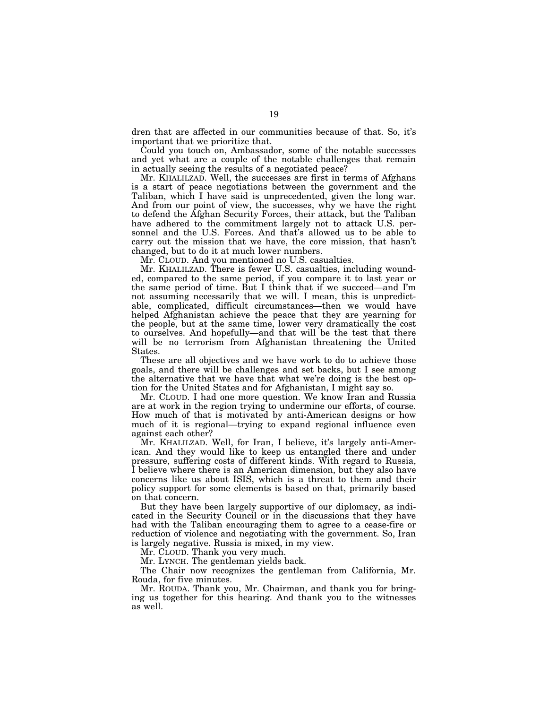dren that are affected in our communities because of that. So, it's important that we prioritize that.

Could you touch on, Ambassador, some of the notable successes and yet what are a couple of the notable challenges that remain in actually seeing the results of a negotiated peace?

Mr. KHALILZAD. Well, the successes are first in terms of Afghans is a start of peace negotiations between the government and the Taliban, which I have said is unprecedented, given the long war. And from our point of view, the successes, why we have the right to defend the Afghan Security Forces, their attack, but the Taliban have adhered to the commitment largely not to attack U.S. personnel and the U.S. Forces. And that's allowed us to be able to carry out the mission that we have, the core mission, that hasn't changed, but to do it at much lower numbers.

Mr. CLOUD. And you mentioned no U.S. casualties.

Mr. KHALILZAD. There is fewer U.S. casualties, including wounded, compared to the same period, if you compare it to last year or the same period of time. But I think that if we succeed—and I'm not assuming necessarily that we will. I mean, this is unpredictable, complicated, difficult circumstances—then we would have helped Afghanistan achieve the peace that they are yearning for the people, but at the same time, lower very dramatically the cost to ourselves. And hopefully—and that will be the test that there will be no terrorism from Afghanistan threatening the United States.

These are all objectives and we have work to do to achieve those goals, and there will be challenges and set backs, but I see among the alternative that we have that what we're doing is the best option for the United States and for Afghanistan, I might say so.

Mr. CLOUD. I had one more question. We know Iran and Russia are at work in the region trying to undermine our efforts, of course. How much of that is motivated by anti-American designs or how much of it is regional—trying to expand regional influence even against each other?

Mr. KHALILZAD. Well, for Iran, I believe, it's largely anti-American. And they would like to keep us entangled there and under pressure, suffering costs of different kinds. With regard to Russia, I believe where there is an American dimension, but they also have concerns like us about ISIS, which is a threat to them and their policy support for some elements is based on that, primarily based on that concern.

But they have been largely supportive of our diplomacy, as indicated in the Security Council or in the discussions that they have had with the Taliban encouraging them to agree to a cease-fire or reduction of violence and negotiating with the government. So, Iran is largely negative. Russia is mixed, in my view.

Mr. CLOUD. Thank you very much.

Mr. LYNCH. The gentleman yields back.

The Chair now recognizes the gentleman from California, Mr. Rouda, for five minutes.

Mr. ROUDA. Thank you, Mr. Chairman, and thank you for bringing us together for this hearing. And thank you to the witnesses as well.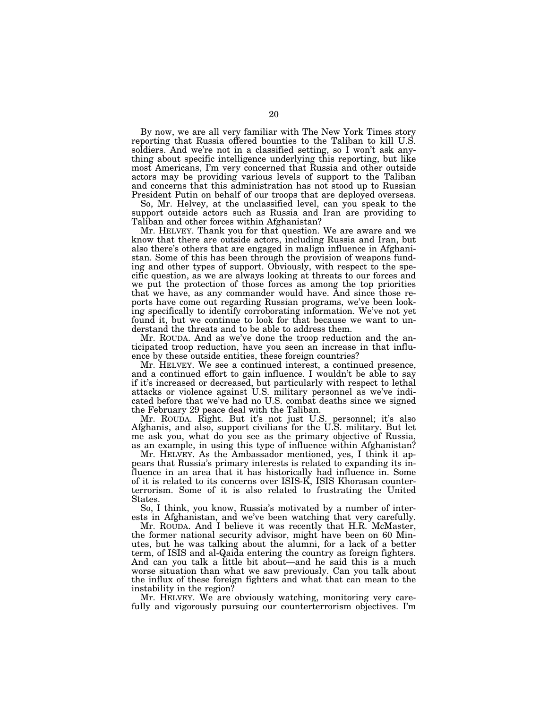By now, we are all very familiar with The New York Times story reporting that Russia offered bounties to the Taliban to kill U.S. soldiers. And we're not in a classified setting, so I won't ask anything about specific intelligence underlying this reporting, but like most Americans, I'm very concerned that Russia and other outside actors may be providing various levels of support to the Taliban and concerns that this administration has not stood up to Russian President Putin on behalf of our troops that are deployed overseas.

So, Mr. Helvey, at the unclassified level, can you speak to the support outside actors such as Russia and Iran are providing to Taliban and other forces within Afghanistan?

Mr. HELVEY. Thank you for that question. We are aware and we know that there are outside actors, including Russia and Iran, but also there's others that are engaged in malign influence in Afghanistan. Some of this has been through the provision of weapons funding and other types of support. Obviously, with respect to the specific question, as we are always looking at threats to our forces and we put the protection of those forces as among the top priorities that we have, as any commander would have. And since those reports have come out regarding Russian programs, we've been looking specifically to identify corroborating information. We've not yet found it, but we continue to look for that because we want to understand the threats and to be able to address them.

Mr. ROUDA. And as we've done the troop reduction and the anticipated troop reduction, have you seen an increase in that influence by these outside entities, these foreign countries?

Mr. HELVEY. We see a continued interest, a continued presence, and a continued effort to gain influence. I wouldn't be able to say if it's increased or decreased, but particularly with respect to lethal attacks or violence against U.S. military personnel as we've indicated before that we've had no U.S. combat deaths since we signed the February 29 peace deal with the Taliban.

Mr. ROUDA. Right. But it's not just U.S. personnel; it's also Afghanis, and also, support civilians for the U.S. military. But let me ask you, what do you see as the primary objective of Russia, as an example, in using this type of influence within Afghanistan?

Mr. HELVEY. As the Ambassador mentioned, yes, I think it appears that Russia's primary interests is related to expanding its influence in an area that it has historically had influence in. Some of it is related to its concerns over ISIS-K, ISIS Khorasan counterterrorism. Some of it is also related to frustrating the United States.

So, I think, you know, Russia's motivated by a number of interests in Afghanistan, and we've been watching that very carefully.

Mr. ROUDA. And I believe it was recently that H.R. McMaster, the former national security advisor, might have been on 60 Minutes, but he was talking about the alumni, for a lack of a better term, of ISIS and al-Qaida entering the country as foreign fighters. And can you talk a little bit about—and he said this is a much worse situation than what we saw previously. Can you talk about the influx of these foreign fighters and what that can mean to the instability in the region?

Mr. HELVEY. We are obviously watching, monitoring very carefully and vigorously pursuing our counterterrorism objectives. I'm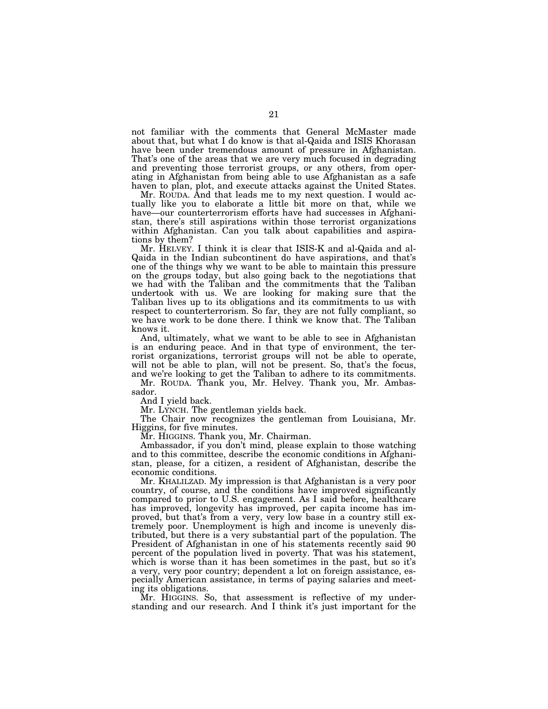not familiar with the comments that General McMaster made about that, but what I do know is that al-Qaida and ISIS Khorasan have been under tremendous amount of pressure in Afghanistan. That's one of the areas that we are very much focused in degrading and preventing those terrorist groups, or any others, from operating in Afghanistan from being able to use Afghanistan as a safe haven to plan, plot, and execute attacks against the United States.

Mr. ROUDA. And that leads me to my next question. I would actually like you to elaborate a little bit more on that, while we have—our counterterrorism efforts have had successes in Afghanistan, there's still aspirations within those terrorist organizations within Afghanistan. Can you talk about capabilities and aspirations by them?

Mr. HELVEY. I think it is clear that ISIS-K and al-Qaida and al-Qaida in the Indian subcontinent do have aspirations, and that's one of the things why we want to be able to maintain this pressure on the groups today, but also going back to the negotiations that we had with the Taliban and the commitments that the Taliban undertook with us. We are looking for making sure that the Taliban lives up to its obligations and its commitments to us with respect to counterterrorism. So far, they are not fully compliant, so we have work to be done there. I think we know that. The Taliban knows it.

And, ultimately, what we want to be able to see in Afghanistan is an enduring peace. And in that type of environment, the terrorist organizations, terrorist groups will not be able to operate, will not be able to plan, will not be present. So, that's the focus, and we're looking to get the Taliban to adhere to its commitments.

Mr. ROUDA. Thank you, Mr. Helvey. Thank you, Mr. Ambassador.

And I yield back.

Mr. LYNCH. The gentleman yields back.

The Chair now recognizes the gentleman from Louisiana, Mr. Higgins, for five minutes.

Mr. HIGGINS. Thank you, Mr. Chairman.

Ambassador, if you don't mind, please explain to those watching and to this committee, describe the economic conditions in Afghanistan, please, for a citizen, a resident of Afghanistan, describe the economic conditions.

Mr. KHALILZAD. My impression is that Afghanistan is a very poor country, of course, and the conditions have improved significantly compared to prior to U.S. engagement. As I said before, healthcare has improved, longevity has improved, per capita income has improved, but that's from a very, very low base in a country still extremely poor. Unemployment is high and income is unevenly distributed, but there is a very substantial part of the population. The President of Afghanistan in one of his statements recently said 90 percent of the population lived in poverty. That was his statement, which is worse than it has been sometimes in the past, but so it's a very, very poor country; dependent a lot on foreign assistance, especially American assistance, in terms of paying salaries and meeting its obligations.

Mr. HIGGINS. So, that assessment is reflective of my understanding and our research. And I think it's just important for the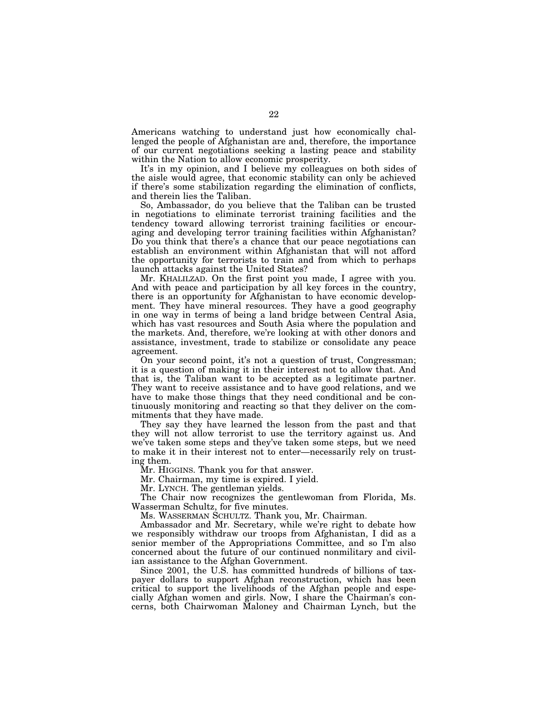Americans watching to understand just how economically challenged the people of Afghanistan are and, therefore, the importance of our current negotiations seeking a lasting peace and stability within the Nation to allow economic prosperity.

It's in my opinion, and I believe my colleagues on both sides of the aisle would agree, that economic stability can only be achieved if there's some stabilization regarding the elimination of conflicts, and therein lies the Taliban.

So, Ambassador, do you believe that the Taliban can be trusted in negotiations to eliminate terrorist training facilities and the tendency toward allowing terrorist training facilities or encouraging and developing terror training facilities within Afghanistan? Do you think that there's a chance that our peace negotiations can establish an environment within Afghanistan that will not afford the opportunity for terrorists to train and from which to perhaps launch attacks against the United States?

Mr. KHALILZAD. On the first point you made, I agree with you. And with peace and participation by all key forces in the country, there is an opportunity for Afghanistan to have economic development. They have mineral resources. They have a good geography in one way in terms of being a land bridge between Central Asia, which has vast resources and South Asia where the population and the markets. And, therefore, we're looking at with other donors and assistance, investment, trade to stabilize or consolidate any peace agreement.

On your second point, it's not a question of trust, Congressman; it is a question of making it in their interest not to allow that. And that is, the Taliban want to be accepted as a legitimate partner. They want to receive assistance and to have good relations, and we have to make those things that they need conditional and be continuously monitoring and reacting so that they deliver on the commitments that they have made.

They say they have learned the lesson from the past and that they will not allow terrorist to use the territory against us. And we've taken some steps and they've taken some steps, but we need to make it in their interest not to enter—necessarily rely on trusting them.

Mr. HIGGINS. Thank you for that answer.

Mr. Chairman, my time is expired. I yield.

Mr. LYNCH. The gentleman yields.

The Chair now recognizes the gentlewoman from Florida, Ms. Wasserman Schultz, for five minutes.

Ms. WASSERMAN SCHULTZ. Thank you, Mr. Chairman.

Ambassador and Mr. Secretary, while we're right to debate how we responsibly withdraw our troops from Afghanistan, I did as a senior member of the Appropriations Committee, and so I'm also concerned about the future of our continued nonmilitary and civilian assistance to the Afghan Government.

Since 2001, the U.S. has committed hundreds of billions of taxpayer dollars to support Afghan reconstruction, which has been critical to support the livelihoods of the Afghan people and especially Afghan women and girls. Now, I share the Chairman's concerns, both Chairwoman Maloney and Chairman Lynch, but the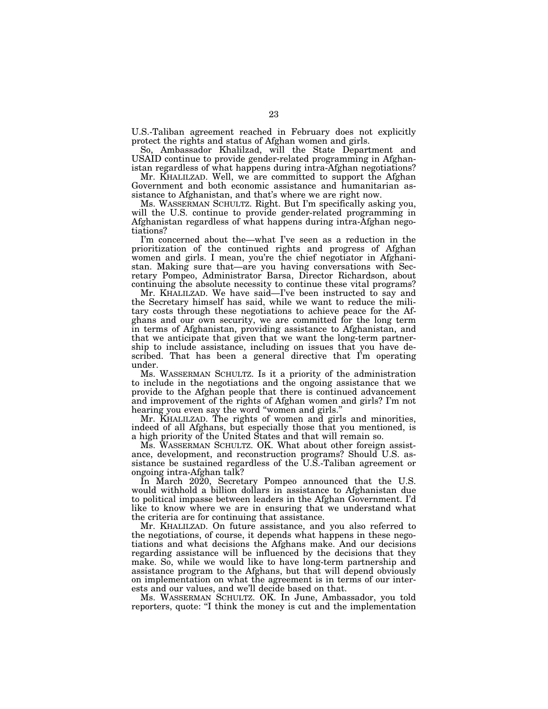U.S.-Taliban agreement reached in February does not explicitly protect the rights and status of Afghan women and girls.

So, Ambassador Khalilzad, will the State Department and USAID continue to provide gender-related programming in Afghanistan regardless of what happens during intra-Afghan negotiations?

Mr. KHALILZAD. Well, we are committed to support the Afghan Government and both economic assistance and humanitarian assistance to Afghanistan, and that's where we are right now.

Ms. WASSERMAN SCHULTZ. Right. But I'm specifically asking you, will the U.S. continue to provide gender-related programming in Afghanistan regardless of what happens during intra-Afghan negotiations?

I'm concerned about the—what I've seen as a reduction in the prioritization of the continued rights and progress of Afghan women and girls. I mean, you're the chief negotiator in Afghanistan. Making sure that—are you having conversations with Secretary Pompeo, Administrator Barsa, Director Richardson, about continuing the absolute necessity to continue these vital programs?

Mr. KHALILZAD. We have said—I've been instructed to say and the Secretary himself has said, while we want to reduce the military costs through these negotiations to achieve peace for the Afghans and our own security, we are committed for the long term in terms of Afghanistan, providing assistance to Afghanistan, and that we anticipate that given that we want the long-term partnership to include assistance, including on issues that you have described. That has been a general directive that I'm operating under.

Ms. WASSERMAN SCHULTZ. Is it a priority of the administration to include in the negotiations and the ongoing assistance that we provide to the Afghan people that there is continued advancement and improvement of the rights of Afghan women and girls? I'm not hearing you even say the word "women and girls."

Mr. KHALILZAD. The rights of women and girls and minorities, indeed of all Afghans, but especially those that you mentioned, is a high priority of the United States and that will remain so.

Ms. WASSERMAN SCHULTZ. OK. What about other foreign assistance, development, and reconstruction programs? Should U.S. assistance be sustained regardless of the U.S.-Taliban agreement or ongoing intra-Afghan talk?

In March 2020, Secretary Pompeo announced that the U.S. would withhold a billion dollars in assistance to Afghanistan due to political impasse between leaders in the Afghan Government. I'd like to know where we are in ensuring that we understand what the criteria are for continuing that assistance.

Mr. KHALILZAD. On future assistance, and you also referred to the negotiations, of course, it depends what happens in these negotiations and what decisions the Afghans make. And our decisions regarding assistance will be influenced by the decisions that they make. So, while we would like to have long-term partnership and assistance program to the Afghans, but that will depend obviously on implementation on what the agreement is in terms of our interests and our values, and we'll decide based on that.

Ms. WASSERMAN SCHULTZ. OK. In June, Ambassador, you told reporters, quote: ''I think the money is cut and the implementation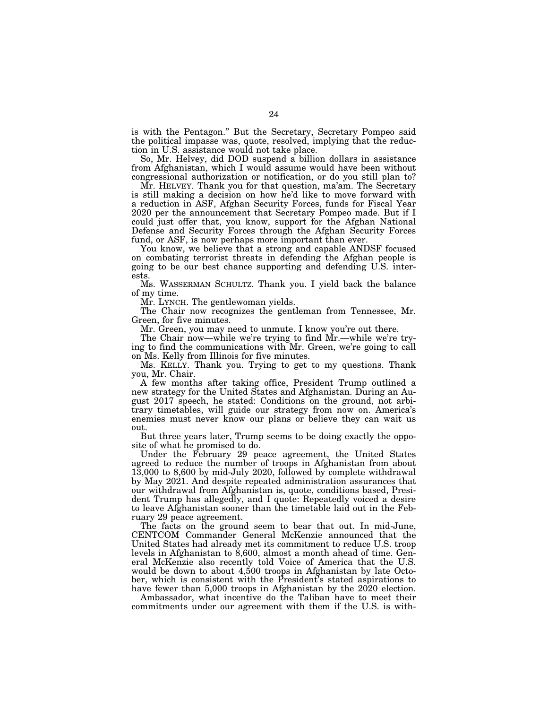is with the Pentagon.'' But the Secretary, Secretary Pompeo said the political impasse was, quote, resolved, implying that the reduction in U.S. assistance would not take place.

So, Mr. Helvey, did DOD suspend a billion dollars in assistance from Afghanistan, which I would assume would have been without congressional authorization or notification, or do you still plan to?

Mr. HELVEY. Thank you for that question, ma'am. The Secretary is still making a decision on how he'd like to move forward with a reduction in ASF, Afghan Security Forces, funds for Fiscal Year 2020 per the announcement that Secretary Pompeo made. But if I could just offer that, you know, support for the Afghan National Defense and Security Forces through the Afghan Security Forces fund, or ASF, is now perhaps more important than ever.

You know, we believe that a strong and capable ANDSF focused on combating terrorist threats in defending the Afghan people is going to be our best chance supporting and defending U.S. interests.

Ms. WASSERMAN SCHULTZ. Thank you. I yield back the balance of my time.

Mr. LYNCH. The gentlewoman yields.

The Chair now recognizes the gentleman from Tennessee, Mr. Green, for five minutes.

Mr. Green, you may need to unmute. I know you're out there.

The Chair now—while we're trying to find Mr.—while we're trying to find the communications with Mr. Green, we're going to call on Ms. Kelly from Illinois for five minutes.

Ms. KELLY. Thank you. Trying to get to my questions. Thank you, Mr. Chair.

A few months after taking office, President Trump outlined a new strategy for the United States and Afghanistan. During an August 2017 speech, he stated: Conditions on the ground, not arbitrary timetables, will guide our strategy from now on. America's enemies must never know our plans or believe they can wait us out.

But three years later, Trump seems to be doing exactly the opposite of what he promised to do.

Under the February 29 peace agreement, the United States agreed to reduce the number of troops in Afghanistan from about 13,000 to 8,600 by mid-July 2020, followed by complete withdrawal by May 2021. And despite repeated administration assurances that our withdrawal from Afghanistan is, quote, conditions based, President Trump has allegedly, and I quote: Repeatedly voiced a desire to leave Afghanistan sooner than the timetable laid out in the February 29 peace agreement.

The facts on the ground seem to bear that out. In mid-June, CENTCOM Commander General McKenzie announced that the United States had already met its commitment to reduce U.S. troop levels in Afghanistan to 8,600, almost a month ahead of time. General McKenzie also recently told Voice of America that the U.S. would be down to about 4,500 troops in Afghanistan by late October, which is consistent with the President's stated aspirations to have fewer than 5,000 troops in Afghanistan by the 2020 election.

Ambassador, what incentive do the Taliban have to meet their commitments under our agreement with them if the U.S. is with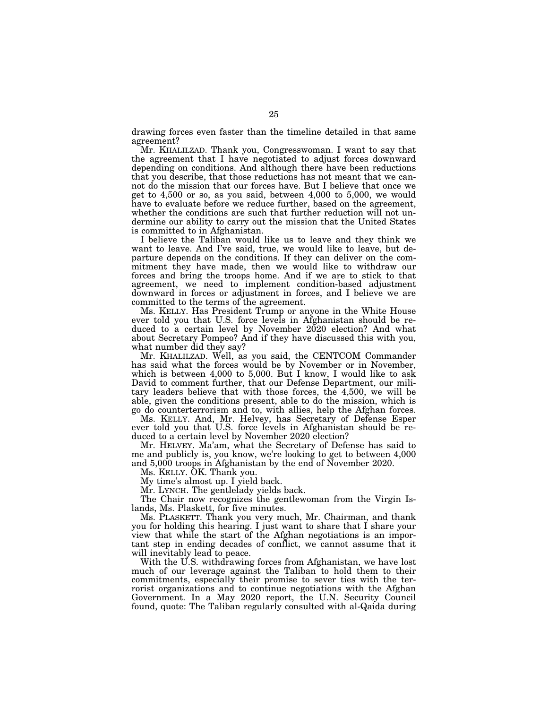drawing forces even faster than the timeline detailed in that same agreement?

Mr. KHALILZAD. Thank you, Congresswoman. I want to say that the agreement that I have negotiated to adjust forces downward depending on conditions. And although there have been reductions that you describe, that those reductions has not meant that we cannot do the mission that our forces have. But I believe that once we get to 4,500 or so, as you said, between 4,000 to 5,000, we would have to evaluate before we reduce further, based on the agreement, whether the conditions are such that further reduction will not undermine our ability to carry out the mission that the United States is committed to in Afghanistan.

I believe the Taliban would like us to leave and they think we want to leave. And I've said, true, we would like to leave, but departure depends on the conditions. If they can deliver on the commitment they have made, then we would like to withdraw our forces and bring the troops home. And if we are to stick to that agreement, we need to implement condition-based adjustment downward in forces or adjustment in forces, and I believe we are committed to the terms of the agreement.

Ms. KELLY. Has President Trump or anyone in the White House ever told you that U.S. force levels in Afghanistan should be reduced to a certain level by November 2020 election? And what about Secretary Pompeo? And if they have discussed this with you, what number did they say?

Mr. KHALILZAD. Well, as you said, the CENTCOM Commander has said what the forces would be by November or in November, which is between 4,000 to 5,000. But I know, I would like to ask David to comment further, that our Defense Department, our military leaders believe that with those forces, the 4,500, we will be able, given the conditions present, able to do the mission, which is go do counterterrorism and to, with allies, help the Afghan forces.

Ms. KELLY. And, Mr. Helvey, has Secretary of Defense Esper ever told you that U.S. force levels in Afghanistan should be reduced to a certain level by November 2020 election?

Mr. HELVEY. Ma'am, what the Secretary of Defense has said to me and publicly is, you know, we're looking to get to between 4,000 and 5,000 troops in Afghanistan by the end of November 2020.

Ms. KELLY. OK. Thank you.

My time's almost up. I yield back.

Mr. LYNCH. The gentlelady yields back.

The Chair now recognizes the gentlewoman from the Virgin Islands, Ms. Plaskett, for five minutes.

Ms. PLASKETT. Thank you very much, Mr. Chairman, and thank you for holding this hearing. I just want to share that I share your view that while the start of the Afghan negotiations is an important step in ending decades of conflict, we cannot assume that it will inevitably lead to peace.

With the U.S. withdrawing forces from Afghanistan, we have lost much of our leverage against the Taliban to hold them to their commitments, especially their promise to sever ties with the terrorist organizations and to continue negotiations with the Afghan Government. In a May 2020 report, the U.N. Security Council found, quote: The Taliban regularly consulted with al-Qaida during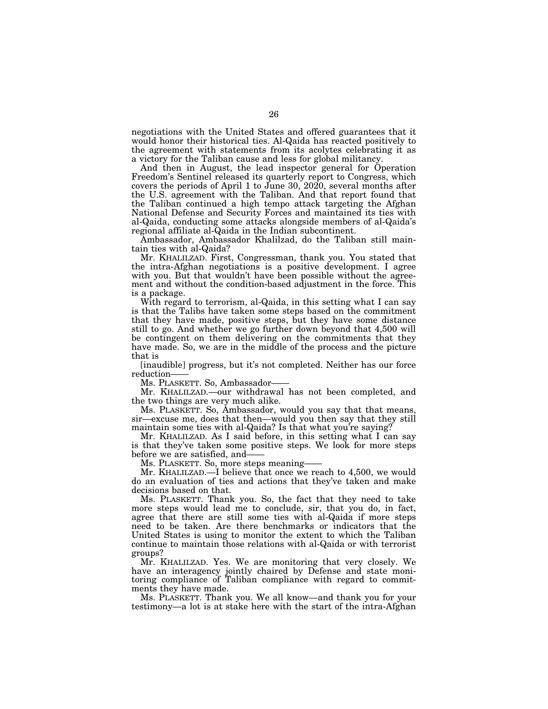negotiations with the United States and offered guarantees that it would honor their historical ties. Al-Qaida has reacted positively to the agreement with statements from its acolytes celebrating it as a victory for the Taliban cause and less for global militancy.

And then in August, the lead inspector general for Operation Freedom's Sentinel released its quarterly report to Congress, which covers the periods of April 1 to June 30, 2020, several months after the U.S. agreement with the Taliban. And that report found that the Taliban continued a high tempo attack targeting the Afghan National Defense and Security Forces and maintained its ties with al-Qaida, conducting some attacks alongside members of al-Qaida's regional affiliate al-Qaida in the Indian subcontinent.

Ambassador, Ambassador Khalilzad, do the Taliban still maintain ties with al-Qaida?

Mr. KHALILZAD. First, Congressman, thank you. You stated that the intra-Afghan negotiations is a positive development. I agree with you. But that wouldn't have been possible without the agreement and without the condition-based adjustment in the force. This is a package.

With regard to terrorism, al-Qaida, in this setting what I can say is that the Talibs have taken some steps based on the commitment that they have made, positive steps, but they have some distance still to go. And whether we go further down beyond that 4,500 will be contingent on them delivering on the commitments that they have made. So, we are in the middle of the process and the picture that is

[inaudible] progress, but it's not completed. Neither has our force reduction——

Ms. PLASKETT. So, Ambassador-

Mr. KHALILZAD.—our withdrawal has not been completed, and the two things are very much alike.

Ms. PLASKETT. So, Ambassador, would you say that that means, sir—excuse me, does that then—would you then say that they still maintain some ties with al-Qaida? Is that what you're saying?

Mr. KHALILZAD. As I said before, in this setting what I can say is that they've taken some positive steps. We look for more steps before we are satisfied, and——

Ms. PLASKETT. So, more steps meaning——

Mr. KHALILZAD.—I believe that once we reach to 4,500, we would do an evaluation of ties and actions that they've taken and make decisions based on that.

Ms. PLASKETT. Thank you. So, the fact that they need to take more steps would lead me to conclude, sir, that you do, in fact, agree that there are still some ties with al-Qaida if more steps need to be taken. Are there benchmarks or indicators that the United States is using to monitor the extent to which the Taliban continue to maintain those relations with al-Qaida or with terrorist groups?

Mr. KHALILZAD. Yes. We are monitoring that very closely. We have an interagency jointly chaired by Defense and state monitoring compliance of Taliban compliance with regard to commitments they have made.

Ms. PLASKETT. Thank you. We all know—and thank you for your testimony—a lot is at stake here with the start of the intra-Afghan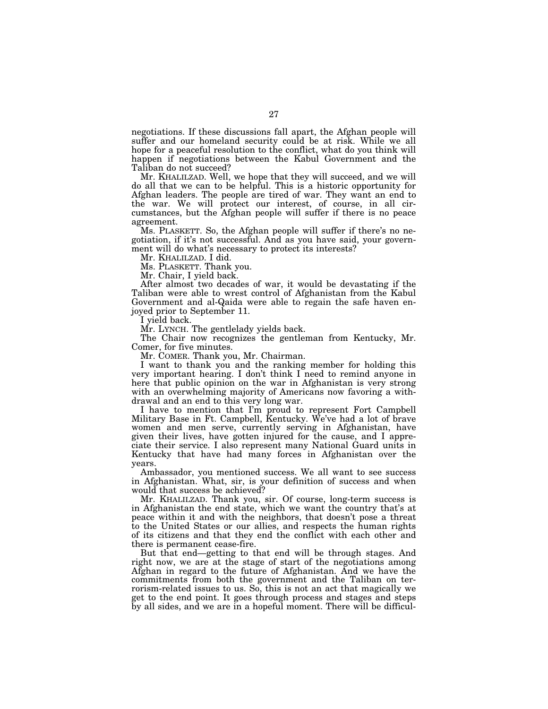negotiations. If these discussions fall apart, the Afghan people will suffer and our homeland security could be at risk. While we all hope for a peaceful resolution to the conflict, what do you think will happen if negotiations between the Kabul Government and the Taliban do not succeed?

Mr. KHALILZAD. Well, we hope that they will succeed, and we will do all that we can to be helpful. This is a historic opportunity for Afghan leaders. The people are tired of war. They want an end to the war. We will protect our interest, of course, in all circumstances, but the Afghan people will suffer if there is no peace agreement.

Ms. PLASKETT. So, the Afghan people will suffer if there's no negotiation, if it's not successful. And as you have said, your government will do what's necessary to protect its interests?

Mr. KHALILZAD. I did.

Ms. PLASKETT. Thank you.

Mr. Chair, I yield back.

After almost two decades of war, it would be devastating if the Taliban were able to wrest control of Afghanistan from the Kabul Government and al-Qaida were able to regain the safe haven enjoyed prior to September 11.

I yield back.

Mr. LYNCH. The gentlelady yields back.

The Chair now recognizes the gentleman from Kentucky, Mr. Comer, for five minutes.

Mr. COMER. Thank you, Mr. Chairman.

I want to thank you and the ranking member for holding this very important hearing. I don't think I need to remind anyone in here that public opinion on the war in Afghanistan is very strong with an overwhelming majority of Americans now favoring a withdrawal and an end to this very long war.

I have to mention that I'm proud to represent Fort Campbell Military Base in Ft. Campbell, Kentucky. We've had a lot of brave women and men serve, currently serving in Afghanistan, have given their lives, have gotten injured for the cause, and I appreciate their service. I also represent many National Guard units in Kentucky that have had many forces in Afghanistan over the years.

Ambassador, you mentioned success. We all want to see success in Afghanistan. What, sir, is your definition of success and when would that success be achieved?

Mr. KHALILZAD. Thank you, sir. Of course, long-term success is in Afghanistan the end state, which we want the country that's at peace within it and with the neighbors, that doesn't pose a threat to the United States or our allies, and respects the human rights of its citizens and that they end the conflict with each other and there is permanent cease-fire.

But that end—getting to that end will be through stages. And right now, we are at the stage of start of the negotiations among Afghan in regard to the future of Afghanistan. And we have the commitments from both the government and the Taliban on terrorism-related issues to us. So, this is not an act that magically we get to the end point. It goes through process and stages and steps by all sides, and we are in a hopeful moment. There will be difficul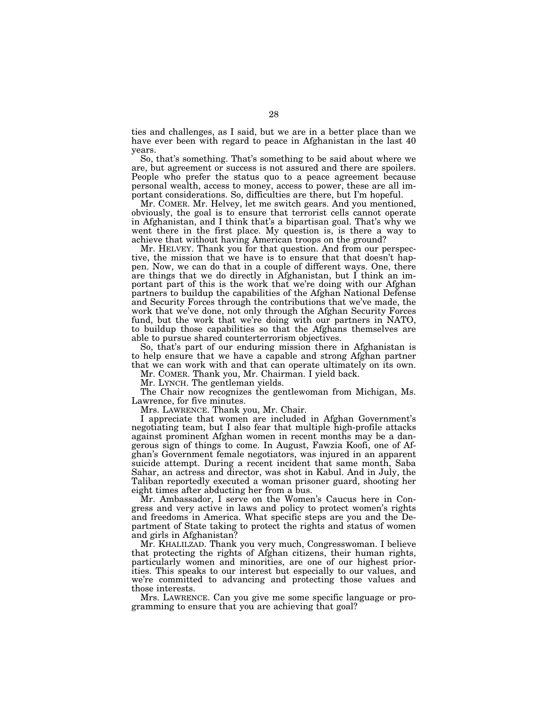ties and challenges, as I said, but we are in a better place than we have ever been with regard to peace in Afghanistan in the last 40 years.

So, that's something. That's something to be said about where we are, but agreement or success is not assured and there are spoilers. People who prefer the status quo to a peace agreement because personal wealth, access to money, access to power, these are all important considerations. So, difficulties are there, but I'm hopeful.

Mr. COMER. Mr. Helvey, let me switch gears. And you mentioned, obviously, the goal is to ensure that terrorist cells cannot operate in Afghanistan, and I think that's a bipartisan goal. That's why we went there in the first place. My question is, is there a way to achieve that without having American troops on the ground?

Mr. HELVEY. Thank you for that question. And from our perspective, the mission that we have is to ensure that that doesn't happen. Now, we can do that in a couple of different ways. One, there are things that we do directly in Afghanistan, but I think an important part of this is the work that we're doing with our Afghan partners to buildup the capabilities of the Afghan National Defense and Security Forces through the contributions that we've made, the work that we've done, not only through the Afghan Security Forces fund, but the work that we're doing with our partners in NATO, to buildup those capabilities so that the Afghans themselves are able to pursue shared counterterrorism objectives.

So, that's part of our enduring mission there in Afghanistan is to help ensure that we have a capable and strong Afghan partner that we can work with and that can operate ultimately on its own.

Mr. COMER. Thank you, Mr. Chairman. I yield back.

Mr. LYNCH. The gentleman yields.

The Chair now recognizes the gentlewoman from Michigan, Ms. Lawrence, for five minutes.

Mrs. LAWRENCE. Thank you, Mr. Chair.

I appreciate that women are included in Afghan Government's negotiating team, but I also fear that multiple high-profile attacks against prominent Afghan women in recent months may be a dangerous sign of things to come. In August, Fawzia Koofi, one of Afghan's Government female negotiators, was injured in an apparent suicide attempt. During a recent incident that same month, Saba Sahar, an actress and director, was shot in Kabul. And in July, the Taliban reportedly executed a woman prisoner guard, shooting her eight times after abducting her from a bus.

Mr. Ambassador, I serve on the Women's Caucus here in Congress and very active in laws and policy to protect women's rights and freedoms in America. What specific steps are you and the Department of State taking to protect the rights and status of women and girls in Afghanistan?

Mr. KHALILZAD. Thank you very much, Congresswoman. I believe that protecting the rights of Afghan citizens, their human rights, particularly women and minorities, are one of our highest priorities. This speaks to our interest but especially to our values, and we're committed to advancing and protecting those values and those interests.

Mrs. LAWRENCE. Can you give me some specific language or programming to ensure that you are achieving that goal?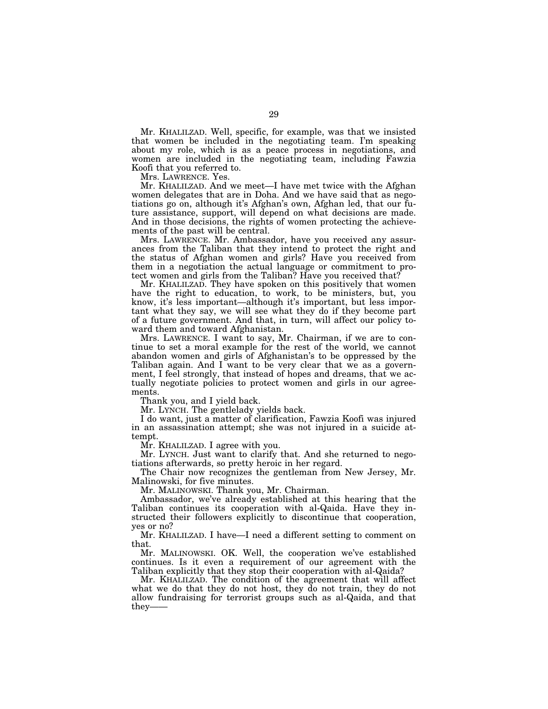Mr. KHALILZAD. Well, specific, for example, was that we insisted that women be included in the negotiating team. I'm speaking about my role, which is as a peace process in negotiations, and women are included in the negotiating team, including Fawzia Koofi that you referred to.

Mrs. LAWRENCE. Yes.

Mr. KHALILZAD. And we meet—I have met twice with the Afghan women delegates that are in Doha. And we have said that as negotiations go on, although it's Afghan's own, Afghan led, that our future assistance, support, will depend on what decisions are made. And in those decisions, the rights of women protecting the achievements of the past will be central.

Mrs. LAWRENCE. Mr. Ambassador, have you received any assurances from the Taliban that they intend to protect the right and the status of Afghan women and girls? Have you received from them in a negotiation the actual language or commitment to protect women and girls from the Taliban? Have you received that?

Mr. KHALILZAD. They have spoken on this positively that women have the right to education, to work, to be ministers, but, you know, it's less important—although it's important, but less important what they say, we will see what they do if they become part of a future government. And that, in turn, will affect our policy toward them and toward Afghanistan.

Mrs. LAWRENCE. I want to say, Mr. Chairman, if we are to continue to set a moral example for the rest of the world, we cannot abandon women and girls of Afghanistan's to be oppressed by the Taliban again. And I want to be very clear that we as a government, I feel strongly, that instead of hopes and dreams, that we actually negotiate policies to protect women and girls in our agreements.

Thank you, and I yield back.

Mr. LYNCH. The gentlelady yields back.

I do want, just a matter of clarification, Fawzia Koofi was injured in an assassination attempt; she was not injured in a suicide attempt.

Mr. KHALILZAD. I agree with you.

Mr. LYNCH. Just want to clarify that. And she returned to negotiations afterwards, so pretty heroic in her regard.

The Chair now recognizes the gentleman from New Jersey, Mr. Malinowski, for five minutes.

Mr. MALINOWSKI. Thank you, Mr. Chairman.

Ambassador, we've already established at this hearing that the Taliban continues its cooperation with al-Qaida. Have they instructed their followers explicitly to discontinue that cooperation, yes or no?

Mr. KHALILZAD. I have—I need a different setting to comment on that.

Mr. MALINOWSKI. OK. Well, the cooperation we've established continues. Is it even a requirement of our agreement with the Taliban explicitly that they stop their cooperation with al-Qaida?

Mr. KHALILZAD. The condition of the agreement that will affect what we do that they do not host, they do not train, they do not allow fundraising for terrorist groups such as al-Qaida, and that they–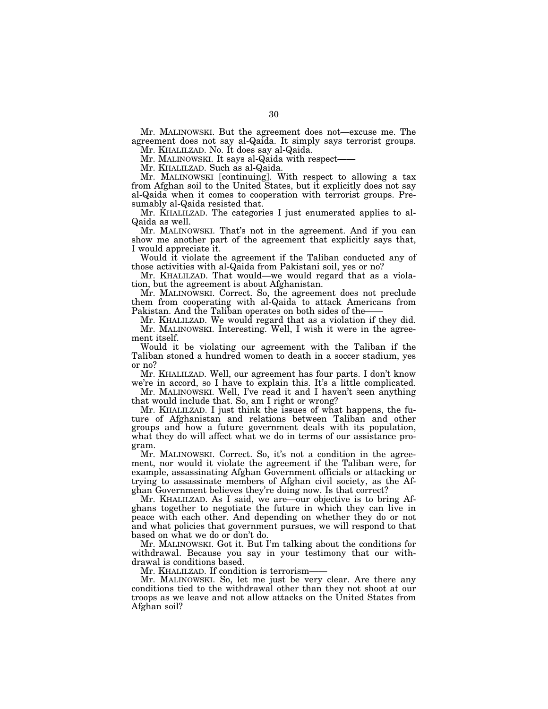Mr. MALINOWSKI. But the agreement does not—excuse me. The agreement does not say al-Qaida. It simply says terrorist groups.

Mr. KHALILZAD. No. It does say al-Qaida. Mr. MALINOWSKI. It says al-Qaida with respect-

Mr. KHALILZAD. Such as al-Qaida.

Mr. MALINOWSKI [continuing]. With respect to allowing a tax from Afghan soil to the United States, but it explicitly does not say al-Qaida when it comes to cooperation with terrorist groups. Presumably al-Qaida resisted that.

Mr. KHALILZAD. The categories I just enumerated applies to al-Qaida as well.

Mr. MALINOWSKI. That's not in the agreement. And if you can show me another part of the agreement that explicitly says that, I would appreciate it.

Would it violate the agreement if the Taliban conducted any of those activities with al-Qaida from Pakistani soil, yes or no?

Mr. KHALILZAD. That would—we would regard that as a violation, but the agreement is about Afghanistan.

Mr. MALINOWSKI. Correct. So, the agreement does not preclude them from cooperating with al-Qaida to attack Americans from Pakistan. And the Taliban operates on both sides of the-

Mr. KHALILZAD. We would regard that as a violation if they did. Mr. MALINOWSKI. Interesting. Well, I wish it were in the agreement itself.

Would it be violating our agreement with the Taliban if the Taliban stoned a hundred women to death in a soccer stadium, yes or no?

Mr. KHALILZAD. Well, our agreement has four parts. I don't know we're in accord, so I have to explain this. It's a little complicated.

Mr. MALINOWSKI. Well, I've read it and I haven't seen anything that would include that. So, am I right or wrong?

Mr. KHALILZAD. I just think the issues of what happens, the future of Afghanistan and relations between Taliban and other groups and how a future government deals with its population, what they do will affect what we do in terms of our assistance program.

Mr. MALINOWSKI. Correct. So, it's not a condition in the agreement, nor would it violate the agreement if the Taliban were, for example, assassinating Afghan Government officials or attacking or trying to assassinate members of Afghan civil society, as the Afghan Government believes they're doing now. Is that correct?

Mr. KHALILZAD. As I said, we are—our objective is to bring Afghans together to negotiate the future in which they can live in peace with each other. And depending on whether they do or not and what policies that government pursues, we will respond to that based on what we do or don't do.

Mr. MALINOWSKI. Got it. But I'm talking about the conditions for withdrawal. Because you say in your testimony that our withdrawal is conditions based.

Mr. KHALILZAD. If condition is terrorism-

Mr. MALINOWSKI. So, let me just be very clear. Are there any conditions tied to the withdrawal other than they not shoot at our troops as we leave and not allow attacks on the United States from Afghan soil?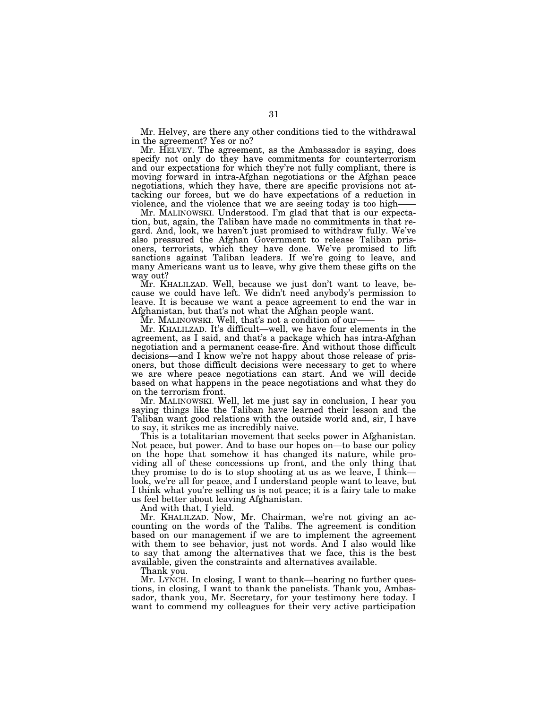Mr. Helvey, are there any other conditions tied to the withdrawal in the agreement? Yes or no?

Mr. HELVEY. The agreement, as the Ambassador is saying, does specify not only do they have commitments for counterterrorism and our expectations for which they're not fully compliant, there is moving forward in intra-Afghan negotiations or the Afghan peace negotiations, which they have, there are specific provisions not attacking our forces, but we do have expectations of a reduction in violence, and the violence that we are seeing today is too high——

Mr. MALINOWSKI. Understood. I'm glad that that is our expectation, but, again, the Taliban have made no commitments in that regard. And, look, we haven't just promised to withdraw fully. We've also pressured the Afghan Government to release Taliban prisoners, terrorists, which they have done. We've promised to lift sanctions against Taliban leaders. If we're going to leave, and many Americans want us to leave, why give them these gifts on the way out?

Mr. KHALILZAD. Well, because we just don't want to leave, because we could have left. We didn't need anybody's permission to leave. It is because we want a peace agreement to end the war in Afghanistan, but that's not what the Afghan people want.

Mr. MALINOWSKI. Well, that's not a condition of our-

Mr. KHALILZAD. It's difficult—well, we have four elements in the agreement, as I said, and that's a package which has intra-Afghan negotiation and a permanent cease-fire. And without those difficult decisions—and I know we're not happy about those release of prisoners, but those difficult decisions were necessary to get to where we are where peace negotiations can start. And we will decide based on what happens in the peace negotiations and what they do on the terrorism front.

Mr. MALINOWSKI. Well, let me just say in conclusion, I hear you saying things like the Taliban have learned their lesson and the Taliban want good relations with the outside world and, sir, I have to say, it strikes me as incredibly naive.

This is a totalitarian movement that seeks power in Afghanistan. Not peace, but power. And to base our hopes on—to base our policy on the hope that somehow it has changed its nature, while providing all of these concessions up front, and the only thing that they promise to do is to stop shooting at us as we leave, I think look, we're all for peace, and I understand people want to leave, but I think what you're selling us is not peace; it is a fairy tale to make us feel better about leaving Afghanistan.

And with that, I yield.

Mr. KHALILZAD. Now, Mr. Chairman, we're not giving an accounting on the words of the Talibs. The agreement is condition based on our management if we are to implement the agreement with them to see behavior, just not words. And I also would like to say that among the alternatives that we face, this is the best available, given the constraints and alternatives available.

Thank you.

Mr. LYNCH. In closing, I want to thank—hearing no further questions, in closing, I want to thank the panelists. Thank you, Ambassador, thank you, Mr. Secretary, for your testimony here today. I want to commend my colleagues for their very active participation